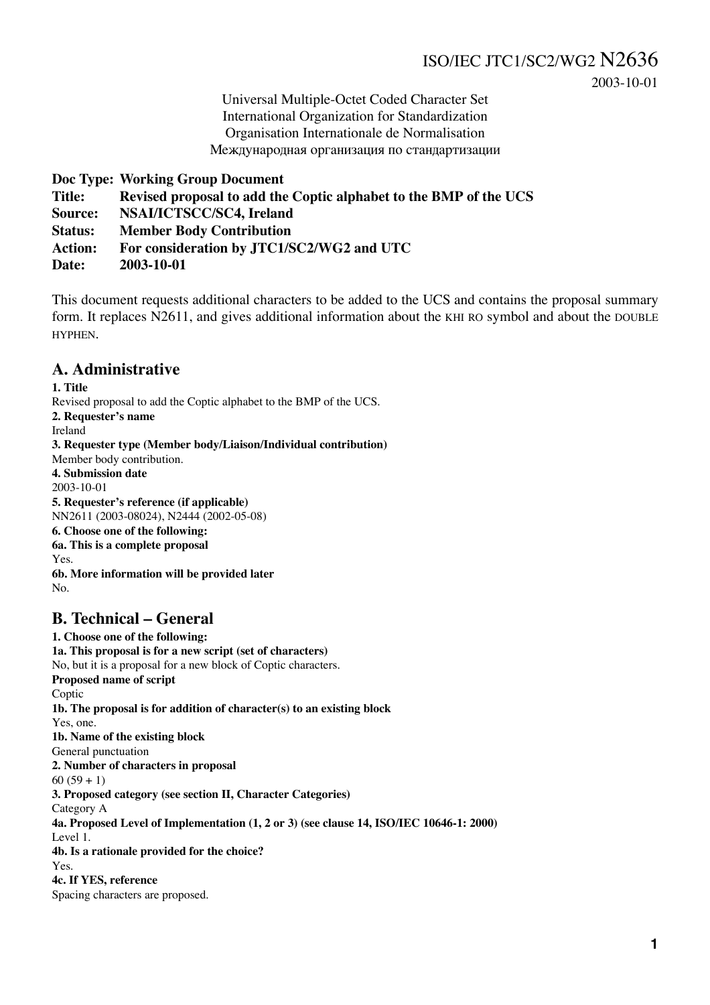2003-10-01

Universal Multiple-Octet Coded Character Set International Organization for Standardization Organisation Internationale de Normalisation Международная организация по стандартизации

**Doc Type: Working Group Document Title: Revised proposal to add the Coptic alphabet to the BMP of the UCS Source: NSAI/ICTSCC/SC4, Ireland Status: Member Body Contribution Action: For consideration by JTC1/SC2/WG2 and UTC Date: 2003-10-01**

This document requests additional characters to be added to the UCS and contains the proposal summary form. It replaces N2611, and gives additional information about the KHI RO symbol and about the DOUBLE HYPHEN.

### **A. Administrative**

**1. Title** Revised proposal to add the Coptic alphabet to the BMP of the UCS. **2. Requester's name** Ireland **3. Requester type (Member body/Liaison/Individual contribution)** Member body contribution. **4. Submission date** 2003-10-01 **5. Requester's reference (if applicable)** NN2611 (2003-08024), N2444 (2002-05-08) **6. Choose one of the following: 6a. This is a complete proposal** Yes. **6b. More information will be provided later**  $N<sub>0</sub>$ 

### **B. Technical – General**

**1. Choose one of the following: 1a. This proposal is for a new script (set of characters)** No, but it is a proposal for a new block of Coptic characters. **Proposed name of script** Coptic **1b. The proposal is for addition of character(s) to an existing block** Yes, one. **1b. Name of the existing block** General punctuation **2. Number of characters in proposal**  $60 (59 + 1)$ **3. Proposed category (see section II, Character Categories)** Category A **4a. Proposed Level of Implementation (1, 2 or 3) (see clause 14, ISO/IEC 10646-1: 2000)** Level 1. **4b. Is a rationale provided for the choice?** Yes. **4c. If YES, reference** Spacing characters are proposed.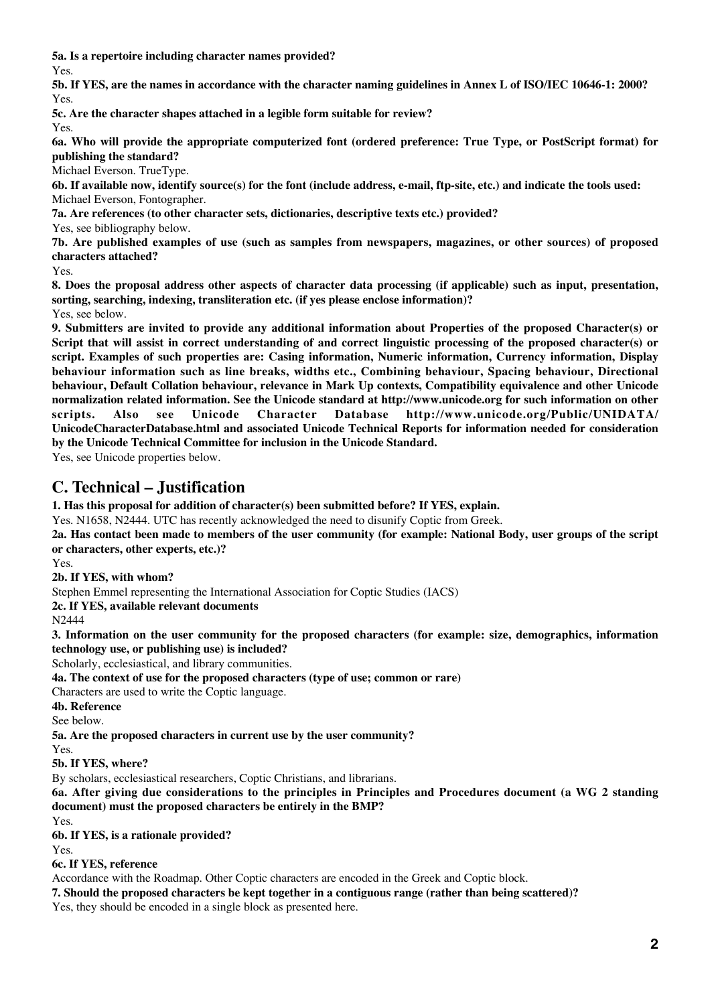**5a. Is a repertoire including character names provided?**

Yes.

**5b. If YES, are the names in accordance with the character naming guidelines in Annex L of ISO/IEC 10646-1: 2000?** Yes.

**5c. Are the character shapes attached in a legible form suitable for review?**

Yes.

**6a. Who will provide the appropriate computerized font (ordered preference: True Type, or PostScript format) for publishing the standard?**

Michael Everson. TrueType.

**6b. If available now, identify source(s) for the font (include address, e-mail, ftp-site, etc.) and indicate the tools used:** Michael Everson, Fontographer.

**7a. Are references (to other character sets, dictionaries, descriptive texts etc.) provided?**

Yes, see bibliography below.

**7b. Are published examples of use (such as samples from newspapers, magazines, or other sources) of proposed characters attached?**

Yes.

**8. Does the proposal address other aspects of character data processing (if applicable) such as input, presentation, sorting, searching, indexing, transliteration etc. (if yes please enclose information)?** Yes, see below.

**9. Submitters are invited to provide any additional information about Properties of the proposed Character(s) or Script that will assist in correct understanding of and correct linguistic processing of the proposed character(s) or script. Examples of such properties are: Casing information, Numeric information, Currency information, Display behaviour information such as line breaks, widths etc., Combining behaviour, Spacing behaviour, Directional behaviour, Default Collation behaviour, relevance in Mark Up contexts, Compatibility equivalence and other Unicode normalization related information. See the Unicode standard at http://www.unicode.org for such information on other scripts. Also see Unicode Character Database http://www.unicode.org/Public/UNIDATA/ UnicodeCharacterDatabase.html and associated Unicode Technical Reports for information needed for consideration by the Unicode Technical Committee for inclusion in the Unicode Standard.**

Yes, see Unicode properties below.

### **C. Technical – Justification**

**1. Has this proposal for addition of character(s) been submitted before? If YES, explain.**

Yes. N1658, N2444. UTC has recently acknowledged the need to disunify Coptic from Greek.

**2a. Has contact been made to members of the user community (for example: National Body, user groups of the script or characters, other experts, etc.)?**

Yes.

**2b. If YES, with whom?**

Stephen Emmel representing the International Association for Coptic Studies (IACS)

**2c. If YES, available relevant documents**

N2444

**3. Information on the user community for the proposed characters (for example: size, demographics, information technology use, or publishing use) is included?**

Scholarly, ecclesiastical, and library communities.

**4a. The context of use for the proposed characters (type of use; common or rare)**

Characters are used to write the Coptic language.

**4b. Reference**

See below.

**5a. Are the proposed characters in current use by the user community?**

Yes. **5b. If YES, where?**

By scholars, ecclesiastical researchers, Coptic Christians, and librarians.

**6a. After giving due considerations to the principles in Principles and Procedures document (a WG 2 standing document) must the proposed characters be entirely in the BMP?**

Yes.

**6b. If YES, is a rationale provided?**

Yes.

**6c. If YES, reference**

Accordance with the Roadmap. Other Coptic characters are encoded in the Greek and Coptic block.

**7. Should the proposed characters be kept together in a contiguous range (rather than being scattered)?**

Yes, they should be encoded in a single block as presented here.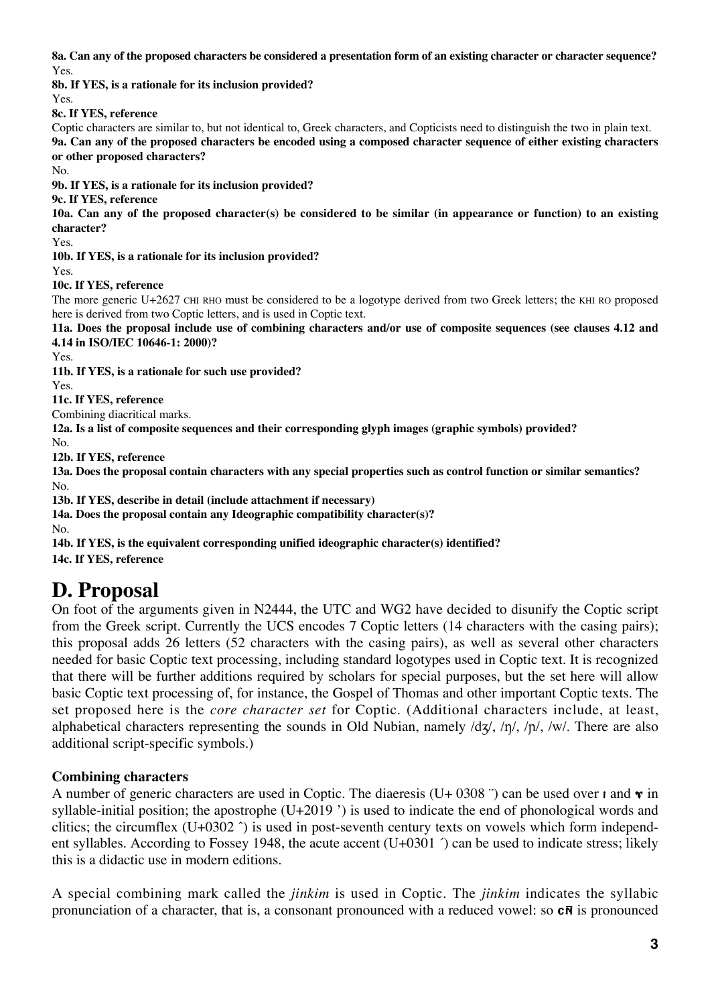**8a. Can any of the proposed characters be considered a presentation form of an existing character or character sequence?** Yes.

**8b. If YES, is a rationale for its inclusion provided?**

Yes.

**8c. If YES, reference**

Coptic characters are similar to, but not identical to, Greek characters, and Copticists need to distinguish the two in plain text. **9a. Can any of the proposed characters be encoded using a composed character sequence of either existing characters or other proposed characters?**

No.

**9b. If YES, is a rationale for its inclusion provided?**

**9c. If YES, reference**

**10a. Can any of the proposed character(s) be considered to be similar (in appearance or function) to an existing character?**

Yes.

**10b. If YES, is a rationale for its inclusion provided?**

Yes.

**10c. If YES, reference**

The more generic U+2627 CHI RHO must be considered to be a logotype derived from two Greek letters; the KHI RO proposed here is derived from two Coptic letters, and is used in Coptic text.

**11a. Does the proposal include use of combining characters and/or use of composite sequences (see clauses 4.12 and 4.14 in ISO/IEC 10646-1: 2000)?**

Yes.

**11b. If YES, is a rationale for such use provided?**

Yes.

**11c. If YES, reference**

Combining diacritical marks.

**12a. Is a list of composite sequences and their corresponding glyph images (graphic symbols) provided?**

No.

**12b. If YES, reference**

**13a. Does the proposal contain characters with any special properties such as control function or similar semantics?** No.

**13b. If YES, describe in detail (include attachment if necessary)**

**14a. Does the proposal contain any Ideographic compatibility character(s)?**

No.

**14b. If YES, is the equivalent corresponding unified ideographic character(s) identified?**

**14c. If YES, reference**

# **D. Proposal**

On foot of the arguments given in N2444, the UTC and WG2 have decided to disunify the Coptic script from the Greek script. Currently the UCS encodes 7 Coptic letters (14 characters with the casing pairs); this proposal adds 26 letters (52 characters with the casing pairs), as well as several other characters needed for basic Coptic text processing, including standard logotypes used in Coptic text. It is recognized that there will be further additions required by scholars for special purposes, but the set here will allow basic Coptic text processing of, for instance, the Gospel of Thomas and other important Coptic texts. The set proposed here is the *core character set* for Coptic. (Additional characters include, at least, alphabetical characters representing the sounds in Old Nubian, namely  $\frac{d\mathbf{x}}{\partial x}$ ,  $\frac{n}{\partial y}$ ,  $\frac{n}{\partial x}$ . There are also additional script-specific symbols.)

### **Combining characters**

A number of generic characters are used in Coptic. The diaeresis (U+ 0308 <sup>-</sup>) can be used over  $\bf{r}$  and  $\bf{v}$  in syllable-initial position; the apostrophe (U+2019 ') is used to indicate the end of phonological words and clitics; the circumflex (U+0302 ˆ) is used in post-seventh century texts on vowels which form independent syllables. According to Fossey 1948, the acute accent (U+0301 ´) can be used to indicate stress; likely this is a didactic use in modern editions.

A special combining mark called the *jinkim* is used in Coptic. The *jinkim* indicates the syllabic pronunciation of a character, that is, a consonant pronounced with a reduced vowel: so  $\overline{c}$ **N** is pronounced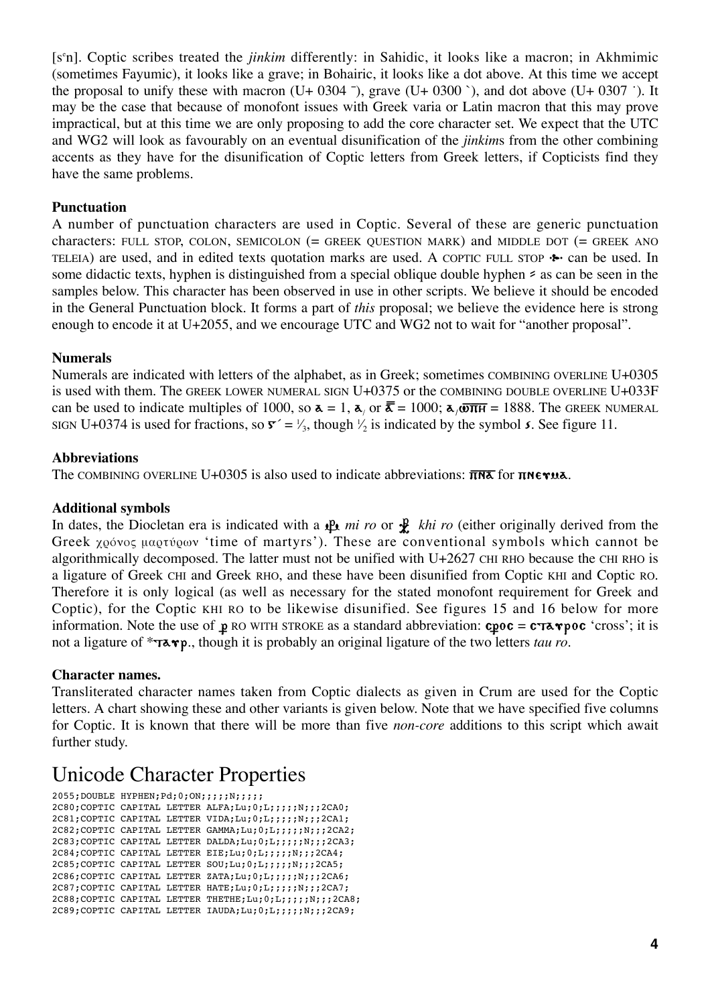[se n]. Coptic scribes treated the *jinkim* differently: in Sahidic, it looks like a macron; in Akhmimic (sometimes Fayumic), it looks like a grave; in Bohairic, it looks like a dot above. At this time we accept the proposal to unify these with macron (U+ 0304 <sup>-</sup>), grave (U+ 0300  $\degree$ ), and dot above (U+ 0307  $\degree$ ). It may be the case that because of monofont issues with Greek varia or Latin macron that this may prove impractical, but at this time we are only proposing to add the core character set. We expect that the UTC and WG2 will look as favourably on an eventual disunification of the *jinkim*s from the other combining accents as they have for the disunification of Coptic letters from Greek letters, if Copticists find they have the same problems.

### **Punctuation**

A number of punctuation characters are used in Coptic. Several of these are generic punctuation characters: FULL STOP, COLON, SEMICOLON (= GREEK QUESTION MARK) and MIDDLE DOT (= GREEK ANO TELEIA) are used, and in edited texts quotation marks are used. A COPTIC FULL STOP  $\cdot \cdot$  can be used. In some didactic texts, hyphen is distinguished from a special oblique double hyphen  $\epsilon$  as can be seen in the samples below. This character has been observed in use in other scripts. We believe it should be encoded in the General Punctuation block. It forms a part of *this* proposal; we believe the evidence here is strong enough to encode it at U+2055, and we encourage UTC and WG2 not to wait for "another proposal".

#### **Numerals**

Numerals are indicated with letters of the alphabet, as in Greek; sometimes COMBINING OVERLINE U+0305 is used with them. The GREEK LOWER NUMERAL SIGN U+0375 or the COMBINING DOUBLE OVERLINE U+033F can be used to indicate multiples of 1000, so  $\bar{\mathbf{a}} = 1$ ,  $\bar{\mathbf{a}}_i$  or  $\bar{\mathbf{a}} = 1000$ ;  $\bar{\mathbf{a}}_i$   $\bar{\mathbf{a}} = 1888$ . The GREEK NUMERAL SIGN U+0374 is used for fractions, so  $\mathbf{r}' = \frac{1}{3}$ , though  $\frac{1}{2}$  is indicated by the symbol s. See figure 11. ⁄ **∕** 

### **Abbreviations**

The COMBINING OVERLINE U+0305 is also used to indicate abbreviations:  $\overline{n} \overline{n} \overline{\delta}$  for  $\overline{n} \overline{n} \epsilon \gamma u \overline{\delta}$ .

#### **Additional symbols**

In dates, the Diocletan era is indicated with a  $\mathbb{R}$  *mi ro* or  $\mathbb{R}$  *khi ro* (either originally derived from the Greek  $\chi$ 00 voc μαρτύρων 'time of martyrs'). These are conventional symbols which cannot be algorithmically decomposed. The latter must not be unified with  $U+2627$  CHI RHO because the CHI RHO is a ligature of Greek CHI and Greek RHO, and these have been disunified from Coptic KHI and Coptic RO. Therefore it is only logical (as well as necessary for the stated monofont requirement for Greek and Coptic), for the Coptic KHI RO to be likewise disunified. See figures 15 and 16 below for more information. Note the use of  $\mathbf{p}$  RO WITH STROKE as a standard abbreviation:  $\mathbf{c} \rho \mathbf{o} \mathbf{c} = \mathbf{c} \tau \mathbf{a} \mathbf{v} \rho \mathbf{o} \mathbf{c}$  'cross'; it is not a ligature of \*√∞ƒ¡., though it is probably an original ligature of the two letters *tau ro*.

#### **Character names.**

Transliterated character names taken from Coptic dialects as given in Crum are used for the Coptic letters. A chart showing these and other variants is given below. Note that we have specified five columns for Coptic. It is known that there will be more than five *non-core* additions to this script which await further study.

# Unicode Character Properties

```
2055; DOUBLE HYPHEN; Pd; 0; ON; ;;;; N;;;;;
2C80;COPTIC CAPITAL LETTER ALFA;Lu;0;L;;;;;N;;;2CA0;
2C81;COPTIC CAPITAL LETTER VIDA;Lu;0;L;;;;;N;;;2CA1;
2C82;COPTIC CAPITAL LETTER GAMMA;Lu;0;L;;;;;N;;;2CA2;
2C83;COPTIC CAPITAL LETTER DALDA;Lu;0;L;;;;;N;;;2CA3;
2C84;COPTIC CAPITAL LETTER EIE;Lu;0;L;;;;;N;;;2CA4;
2C85;COPTIC CAPITAL LETTER SOU;Lu;0;L;;;;;N;;;2CA5;
2C86;COPTIC CAPITAL LETTER ZATA;Lu;0;L;;;;;N;;;2CA6;
2C87;COPTIC CAPITAL LETTER HATE;Lu;0;L;;;;;N;;;2CA7;
2C88;COPTIC CAPITAL LETTER THETHE;Lu;0;L;;;;;N;;;2CA8;
2C89;COPTIC CAPITAL LETTER IAUDA;Lu;0;L;;;;;N;;;2CA9;
```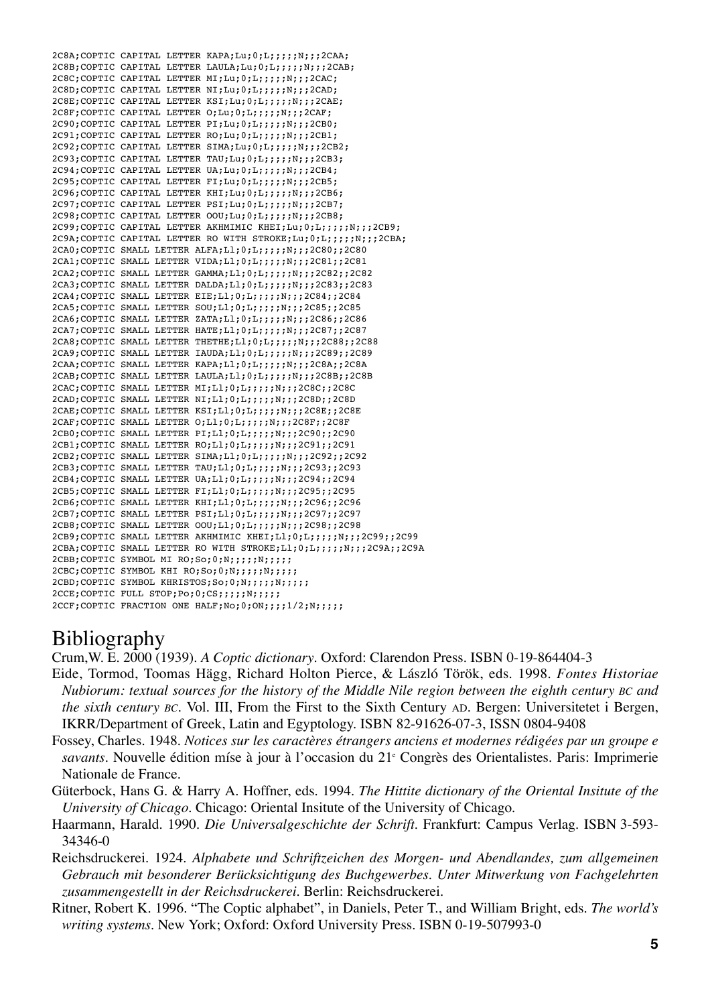```
2C8A;COPTIC CAPITAL LETTER KAPA;Lu;0;L;;;;;N;;;2CAA;
2C8B;COPTIC CAPITAL LETTER LAULA;Lu;0;L;;;;;N;;;2CAB;
2C8C;COPTIC CAPITAL LETTER MI;Lu;0;L;;;;;N;;;2CAC;
2C8D;COPTIC CAPITAL LETTER NI;Lu;0;L;;;;;N;;;2CAD;
2C8E;COPTIC CAPITAL LETTER KSI;Lu;0;L;;;;;N;;;2CAE;
2C8F;COPTIC CAPITAL LETTER O;Lu;0;L;;;;;N;;;2CAF;
2C90;COPTIC CAPITAL LETTER PI;Lu;0;L;;;;;N;;;2CB0;
2C91;COPTIC CAPITAL LETTER RO;Lu;0;L;;;;;N;;;2CB1;
2C92;COPTIC CAPITAL LETTER SIMA;Lu;0;L;;;;;N;;;2CB2;
2C93;COPTIC CAPITAL LETTER TAU;Lu;0;L;;;;;N;;;2CB3;
2C94;COPTIC CAPITAL LETTER UA;Lu;0;L;;;;;N;;;2CB4;
2C95;COPTIC CAPITAL LETTER FI;Lu;0;L;;;;;N;;;2CB5;
2C96;COPTIC CAPITAL LETTER KHI;Lu;0;L;;;;;N;;;2CB6;
2C97;COPTIC CAPITAL LETTER PSI;Lu;0;L;;;;;N;;;2CB7;
2C98;COPTIC CAPITAL LETTER OOU;Lu;0;L;;;;;N;;;2CB8;
2C99; COPTIC CAPITAL LETTER AKHMIMIC KHEI; Lu; 0; L;;;;;;N;;;2CB9;
2C9A; COPTIC CAPITAL LETTER RO WITH STROKE; Lu; 0; L;;;;;;;;;; 2CBA;
2CA0;COPTIC SMALL LETTER ALFA;Ll;0;L;;;;;N;;;2C80;;2C80
2CA1; COPTIC SMALL LETTER VIDA; Ll;0; L;;;;;N;;;2C81;;2C81
2CA2;COPTIC SMALL LETTER GAMMA;Ll;0;L;;;;;N;;;2C82;;2C82
2CA3;COPTIC SMALL LETTER DALDA;Ll;0;L;;;;;N;;;2C83;;2C83
2CA4;COPTIC SMALL LETTER EIE;Ll;0;L;;;;;N;;;2C84;;2C84
2CA5;COPTIC SMALL LETTER SOU;Ll;0;L;;;;;N;;;2C85;;2C85
2CA6;COPTIC SMALL LETTER ZATA;Ll;0;L;;;;;N;;;2C86;;2C86
2CA7;COPTIC SMALL LETTER HATE;Ll;0;L;;;;;N;;;2C87;;2C87
2CA8;COPTIC SMALL LETTER THETHE;Ll;0;L;;;;;N;;;2C88;;2C88
2CA9;COPTIC SMALL LETTER IAUDA;Ll;0;L;;;;;N;;;2C89;;2C89
2CAA;COPTIC SMALL LETTER KAPA;Ll;0;L;;;;;N;;;2C8A;;2C8A
2CAB;COPTIC SMALL LETTER LAULA;Ll;0;L;;;;;N;;;2C8B;;2C8B
2CAC;COPTIC SMALL LETTER MI;Ll;0;L;;;;;N;;;2C8C;;2C8C
2CAD;COPTIC SMALL LETTER NI;L1;0;L;;;;;N;;;2C8D;;2C8D
2CAE;COPTIC SMALL LETTER KSI;Ll;0;L;;;;;N;;;2C8E;;2C8E
2CAF;COPTIC SMALL LETTER O;Ll;0;L;;;;;N;;;2C8F;;2C8F
2CB0;COPTIC SMALL LETTER PI;Ll;0;L;;;;;N;;;2C90;;2C90
2CB1;COPTIC SMALL LETTER RO;Ll;0;L;;;;;N;;;2C91;;2C91
2CB2;COPTIC SMALL LETTER SIMA;Ll;0;L;;;;;N;;;2C92;;2C92
2CB3;COPTIC SMALL LETTER TAU;Ll;0;L;;;;;N;;;2C93;;2C93
2CB4;COPTIC SMALL LETTER UA;Ll;0;L;;;;;N;;;2C94;;2C94
2CB5;COPTIC SMALL LETTER FI;Ll;0;L;;;;;N;;;2C95;;2C95
2CB6;COPTIC SMALL LETTER KHI;Ll;0;L;;;;;N;;;2C96;;2C96
2CB7;COPTIC SMALL LETTER PSI;Ll;0;L;;;;;N;;;2C97;;2C97
2CB8;COPTIC SMALL LETTER OOU;Ll;0;L;;;;;N;;;2C98;;2C98
2CB9;COPTIC SMALL LETTER AKHMIMIC KHEI;Ll;0;L;;;;;N;;;2C99;;2C99
2CBA; COPTIC SMALL LETTER RO WITH STROKE; Ll;0; L;;;;;N;;;2C9A;;2C9A
2CBB; COPTIC SYMBOL MI RO; So; 0; N;;;;;N;;;;;;
2CBC:COPTIC SYMBOL KHI RO;So;0;N;;;;;N;;;;;
2CBD;COPTIC SYMBOL KHRISTOS;So;0;N;;;;;N;;;;;;
2CCE;COPTIC FULL STOP;Po;0;CS;;;;;N;;;;;
2CCF;COPTIC FRACTION ONE HALF;No;0;ON;;;;;1/2;N;;;;;
```
# Bibliography

Crum,W. E. 2000 (1939). *A Coptic dictionary*. Oxford: Clarendon Press. ISBN 0-19-864404-3

- Eide, Tormod, Toomas Hägg, Richard Holton Pierce, & László Török, eds. 1998. *Fontes Historiae Nubiorum: textual sources for the history of the Middle Nile region between the eighth century BC and the sixth century BC*. Vol. III, From the First to the Sixth Century AD. Bergen: Universitetet i Bergen, IKRR/Department of Greek, Latin and Egyptology. ISBN 82-91626-07-3, ISSN 0804-9408
- Fossey, Charles. 1948. *Notices sur les caractères étrangers anciens et modernes rédigées par un groupe e savants*. Nouvelle édition míse à jour à l'occasion du 21<sup>e</sup> Congrès des Orientalistes. Paris: Imprimerie Nationale de France.
- Güterbock, Hans G. & Harry A. Hoffner, eds. 1994. *The Hittite dictionary of the Oriental Insitute of the University of Chicago*. Chicago: Oriental Insitute of the University of Chicago.
- Haarmann, Harald. 1990. *Die Universalgeschichte der Schrift*. Frankfurt: Campus Verlag. ISBN 3-593- 34346-0
- Reichsdruckerei. 1924. *Alphabete und Schriftzeichen des Morgen- und Abendlandes, zum allgemeinen Gebrauch mit besonderer Berücksichtigung des Buchgewerbes. Unter Mitwerkung von Fachgelehrten zusammengestellt in der Reichsdruckerei.* Berlin: Reichsdruckerei.
- Ritner, Robert K. 1996. "The Coptic alphabet", in Daniels, Peter T., and William Bright, eds. *The world's writing systems.* New York; Oxford: Oxford University Press. ISBN 0-19-507993-0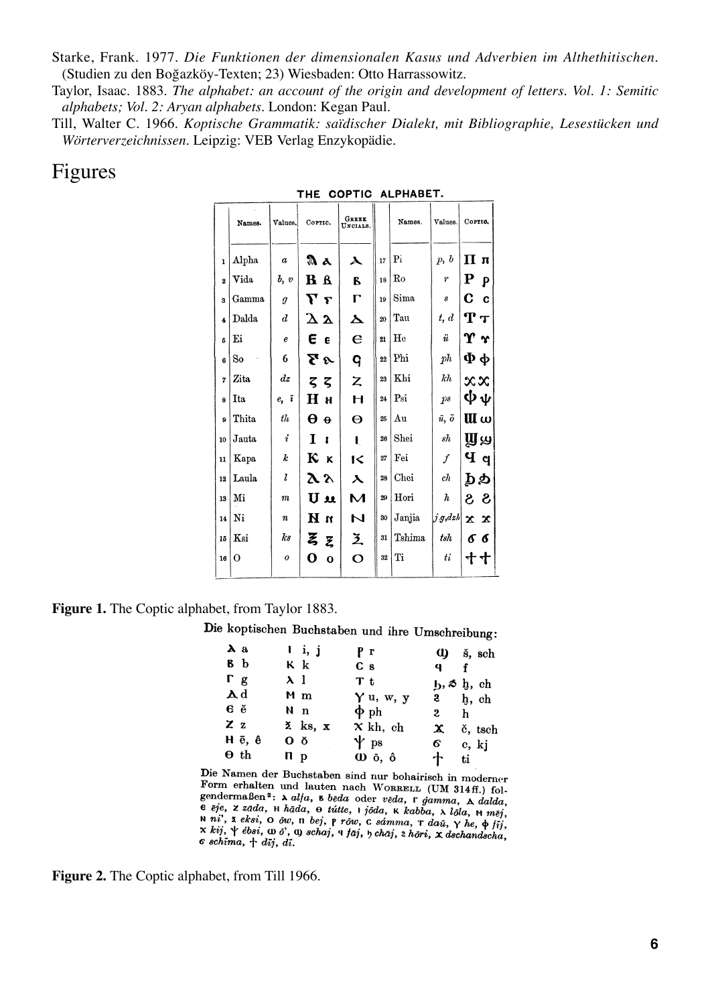Starke, Frank. 1977. *Die Funktionen der dimensionalen Kasus und Adverbien im Althethitischen*. (Studien zu den Boğazköy-Texten; 23) Wiesbaden: Otto Harrassowitz.

Taylor, Isaac. 1883. *The alphabet: an account of the origin and development of letters. Vol. 1: Semitic alphabets; Vol. 2: Aryan alphabets.* London: Kegan Paul.

Till, Walter C. 1966. *Koptische Grammatik: saïdischer Dialekt, mit Bibliographie, Lesestücken und Wörterverzeichnissen.* Leipzig: VEB Verlag Enzykopädie.

### Figures

|                         | Names.      | Values.          | COPTIC.                    | <b>GREEK</b><br>UNCIALS.                                                                |    | Names.         | Values.               | Cortic.                         |
|-------------------------|-------------|------------------|----------------------------|-----------------------------------------------------------------------------------------|----|----------------|-----------------------|---------------------------------|
| $\mathbf{I}$            | Alpha       | $\boldsymbol{a}$ | Aа                         | $\boldsymbol{\lambda}$                                                                  | 17 | P <sub>i</sub> | p, b                  | Πп                              |
| $\overline{\mathbf{2}}$ | <b>Vida</b> | $b, v$           | <b>B</b> B                 | В                                                                                       | 18 | Ro             | $\boldsymbol{\eta}^*$ | ${\bf P}$<br>ρ                  |
| 3                       | Gamma       | $\boldsymbol{g}$ | $\bm{\nabla}$ r            | г                                                                                       | 19 | Sima           | $\boldsymbol{s}$      | C<br>$\mathbf c$                |
| $\ddot{\phantom{a}}$    | Dalda       | $\boldsymbol{d}$ | $\Delta$ $\mathbf{\Delta}$ | $\blacktriangle$                                                                        | 20 | Tau            | t, d                  | ${\bf T}$ ${\bf \tau}$          |
| 5                       | Ei          | $\boldsymbol{e}$ | Еε                         | $\epsilon$                                                                              | 21 | He             | $\ddot{u}$            | $\bm{\Upsilon}$ $\bm{\Upsilon}$ |
| 6                       | So          | 6                | でゃ                         | q                                                                                       | 22 | Phi            | ph                    | Фφ                              |
| 7                       | Zita        | $\,dz$           | ζζ                         | $\mathsf{Z}% _{0}\left( \mathsf{Z}\right) \equiv\mathsf{Z}_{0}\left( \mathsf{Z}\right)$ | 23 | Khi            | kh                    | $x \infty$                      |
| 8                       | <b>Ita</b>  | $e, \bar{i}$     | Нн                         | H                                                                                       | 24 | Psi            | ps                    | ψψ                              |
| $\overline{9}$          | Thita       | th               | $\Theta$ $\Theta$          | $\Theta$                                                                                | 25 | Au             | $\bar{u}, \bar{o}$    | UΙω                             |
| 10                      | Jauta       | $\boldsymbol{i}$ | L<br>$\mathbf{I}$          | ŧ                                                                                       | 26 | Shei           | sh                    | ௶௶                              |
| 11                      | Kapa        | k                | $\kappa$ $\kappa$          | $\mathsf{I}\leqslant$                                                                   | 27 | Fei            | $\boldsymbol{f}$      | $\mathbf{q}$                    |
| 12                      | Laula       | $\mathbf{z}$     | 2 Y                        | $\lambda$                                                                               | 28 | Chei           | ch                    | рÞ                              |
| 13                      | Mi          | $\boldsymbol{m}$ | U u                        | $\mathbf{M}$                                                                            | 29 | Hori           | $\hbar$               | $3\,$ $3\,$                     |
| 14                      | Ni          | $\boldsymbol{n}$ | n H                        | N                                                                                       | 30 | Janjia         | $j$ $g$ , $dzh$       | $x \mathbf{x}$                  |
| 15                      | Ksi         | ks               | ξ ξ                        | 区                                                                                       | 31 | Tshima         | tsh                   | σσ                              |
| 16                      | O           | $\boldsymbol{o}$ | O<br>$\Omega$              | $\overline{O}$                                                                          | 32 | Ti             | ti                    | すす                              |
|                         |             |                  |                            |                                                                                         |    |                |                       |                                 |

THE COPTIC ALPHABET.

#### **Figure 1.** The Coptic alphabet, from Taylor 1883.

Die koptischen Buchstaben und ihre Umschreibung:

| $\lambda$ a             | $\mathbf{i}$ , $\mathbf{j}$ | Pr                           | $\mathbf u$                                           | š, sch  |
|-------------------------|-----------------------------|------------------------------|-------------------------------------------------------|---------|
| b                       | Кk                          | C <sub>s</sub>               | 9<br>$\mathbf{f}$                                     |         |
| $\Gamma$ g              | $\lambda$ l                 | T t                          | $\mathbf{b}$ , $\delta$ $\mathbf{b}$ , $\mathbf{c}$ h |         |
| $\mathbf{A}$ d          | Мm                          | Y u, w, y                    | $\frac{3}{2}$ b, ch                                   |         |
| $\epsilon$ $\epsilon$   | N <sub>n</sub>              | $\Phi$ ph                    | $\mathbf{2}$<br>h                                     |         |
| ZZ                      | $\lambda$ ks, x             | $x$ kh, ch                   | $\mathbf x$                                           | č, tsch |
| $H \bar{e}$ , $\hat{e}$ | 0 <sub>o</sub>              | $\mathbf{\Psi}$ ps           | 6.                                                    | c, kj   |
| $\Theta$ th             | n <sub>p</sub>              | $\omega$ $\delta$ , $\delta$ | 十<br>ti -                                             |         |

Die Namen der Buchstaben sind nur bohairisch in moderner Form erhalten und lauten nach WORRELL (UM 314ff.) fol-Form emalent und lauten nach WORRELL (UM 314ff.) fol-<br>gendermaßen<sup>2</sup>:  $\lambda$  alfa, b beda oder veda, r gamma,  $\lambda$  dalda,  $\mathbf{e}^{i\mathbf{e}}$ ,  $\mathbf{z}$  zada,  $\mathbf{e}$  h hāda,  $\mathbf{e}$  tútte,  $\mathbf{e}$  joda,  $\mathbf{e}$  k kabba,  $\mathbf{e}$  loda,  $\mathbf{e}$  mma,  $\mathbf{e}$  dalda,  $\mathbf{e}$ <br> $\mathbf{e}$  eje,  $\mathbf{z}$  zada,  $\mathbf{e}$  h hāda,  $\mathbf{e}$  tútte,  $\mathbf{e$  $n$  ni', z eksi, O ow, n bej, p rōw, c sámma, r daū,  $\gamma$  he,  $\phi$  fij,  $x$  kij,  $\gamma$  ébsi,  $\omega$   $\delta$ ,  $\alpha$  schaj,  $\alpha$  faj,  $\gamma$  chaj,  $z$  hori,  $x$  dschandscha,  $\epsilon$  schima,  $+$  dij, di.

**Figure 2.** The Coptic alphabet, from Till 1966.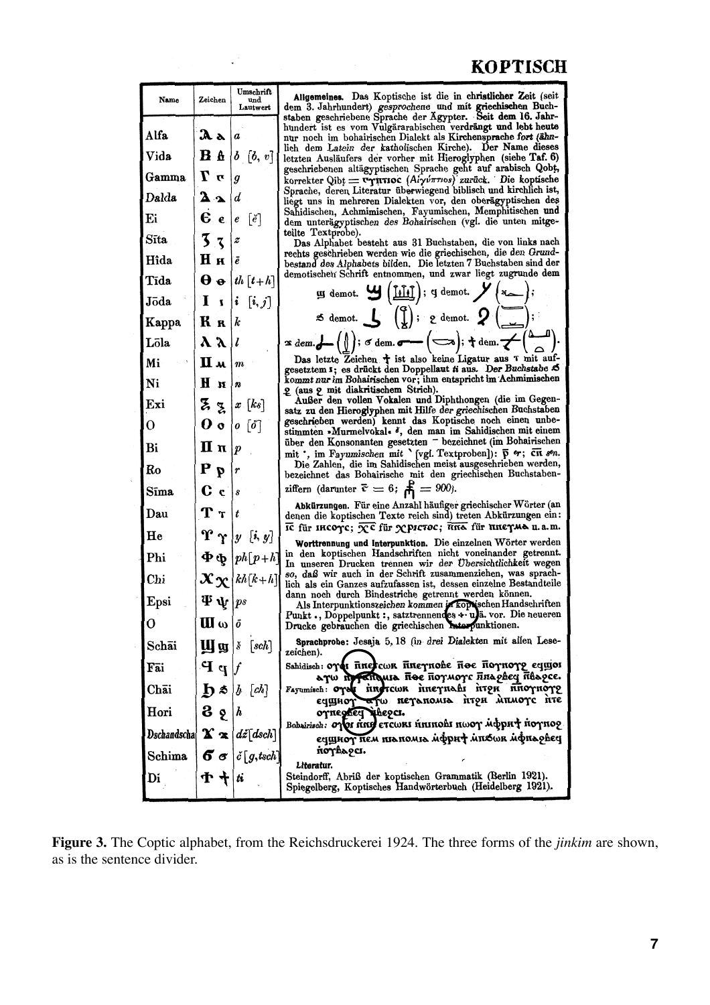# **KOPTISCH**

| Name                                                               | Zeichen                                   | Umschrift<br>und<br>Lautwert                                    | Allgemeines. Das Koptische ist die in christlicher Zeit (seit<br>dem 3. Jahrhundert) gesprochene und mit griechischen Buch-                                                                                                                                |
|--------------------------------------------------------------------|-------------------------------------------|-----------------------------------------------------------------|------------------------------------------------------------------------------------------------------------------------------------------------------------------------------------------------------------------------------------------------------------|
| Alfa                                                               | $\mathbf{a}$ a                            | a                                                               | staben geschriebene Sprache der Ägypter. Seit dem 16. Jahr-<br>hundert ist es vom Vulgärarabischen verdrängt und lebt heute<br>nur noch im bohairischen Dialekt als Kirchensprache fort (ähn-<br>lich dem Latein der katholischen Kirche). Der Name dieses |
| Vida                                                               | <b>B</b> b                                | $b\ [b,\ v]$                                                    | letzten Ausläufers der vorher mit Hieroglyphen (siehe Taf. 6)                                                                                                                                                                                              |
| Gamma                                                              | $\bm{r}$ $\bm{T}$                         | $\boldsymbol{g}$                                                | geschriebenen altägyptischen Sprache geht auf arabisch Qobt,<br>korrekter Qibt = vernanoc (Aiyv $\pi$ rios) zurück. Die koptische                                                                                                                          |
| Dalda                                                              | $\mathbf{a}$                              | d                                                               | Sprache, deren Literatur überwiegend biblisch und kirchlich ist,<br>liegt uns in mehreren Dialekten vor, den oberägyptischen des                                                                                                                           |
| Ei                                                                 | Eе                                        | $\lceil e \rceil$<br>$\boldsymbol{e}$                           | Sahidischen, Achmimischen, Fayumischen, Memphitischen und<br>dem unterägyptischen des Bohairischen (vgl. die unten mitge-                                                                                                                                  |
| Sīta                                                               | 3x                                        | z                                                               | teilte Textprobe).<br>Das Alphabet besteht aus 31 Buchstaben, die von links nach                                                                                                                                                                           |
| Hîda                                                               | Ни                                        | Ιē                                                              | rechts geschrieben werden wie die griechischen, die den Grund-<br>bestand des Alphabets bilden. Die letzten 7 Buchstaben sind der                                                                                                                          |
| Tīda                                                               | $\boldsymbol{\theta}$ o                   | $\lfloor th \lfloor t+h \rfloor$                                | demotischen Schrift entnommen, und zwar liegt zugrunde dem                                                                                                                                                                                                 |
| Jōda                                                               | $\mathbf{I}$                              | $i\left[i,j\right]$                                             | $\mathbf{y}$ demot. $\mathbf{y}$ $(\underline{\text{Mif}})$ ; q demot. $\mathbf{y}$ $(\infty)$ ;                                                                                                                                                           |
| Kappa                                                              | Кк                                        | k                                                               | $\text{Im}\left\{ \mathbf{S} \setminus \mathbf{S} \mid \mathbf{S} \right\}$ ( $\text{Im}\left\{ \mathbf{S} \right\}$ ) and $\text{Im}\left\{ \mathbf{S} \right\}$ ( $\text{Im}\left\{ \mathbf{S} \right\}$ )                                               |
| Lõla                                                               | $\lambda \lambda$                         |                                                                 | $\mathbf{r}$ dem. $\mathbf{L}\left(\begin{pmatrix} 0 \end{pmatrix}; s'$ dem. $\mathbf{L}\left(\begin{matrix} -1 \end{matrix}\right); \mathbf{t}$ dem. $\mathbf{L}\left(\begin{matrix} 0 & -1 \end{matrix}\right)$                                          |
| Mi                                                                 | Шм                                        | $\boldsymbol{m}$                                                | Das letzte Zeichen + ist also keine Ligatur aus T mit auf-<br>gesetztem 1; es drückt den Doppellaut ti aus. Der Buchstabe S                                                                                                                                |
| Ni                                                                 | n H                                       | n                                                               | kommt nur im Bohairischen vor; ihm entspricht im Achmimischen<br>2 (aus 2 mit diakritischem Strich).                                                                                                                                                       |
| Exi                                                                | Zз                                        | $\boldsymbol{x}$ [ks]                                           | Außer den vollen Vokalen und Diphthongen (die im Gegen-<br>satz zu den Hieroglyphen mit Hilfe der griechischen Buchstaben                                                                                                                                  |
| 0                                                                  | 0 о                                       | $\boldsymbol{o} \ \left[\boldsymbol{\breve{\textbf{o}}}\right]$ | geschrieben werden) kennt das Koptische noch einen unbe-<br>stimmten »Murmelvokal« », den man im Sahidischen mit einem                                                                                                                                     |
| Bi                                                                 | Πп                                        | p                                                               | über den Konsonanten gesetzten - bezeichnet (im Bohairischen<br>mit ', im Fayumischen mit ' [vgl. Textproben]): $\bar{p}$ or; CII son.                                                                                                                     |
| Ro                                                                 | $P_p$                                     | r                                                               | Die Zahlen, die im Sahidischen meist ausgeschrieben werden,<br>bezeichnet das Bohairische mit den griechischen Buchstaben-                                                                                                                                 |
| Sīma                                                               | c <sub>c</sub>                            | S                                                               | ziffern (darunter $\bar{c} = 6$ ; $\bar{F}_1 = 900$ ).                                                                                                                                                                                                     |
| Dau                                                                | ${\bf T}$ ${\bf \tau}$                    | t                                                               | Abkürzungen. Für eine Anzahl häufiger griechischer Wörter (an<br>denen die koptischen Texte reich sind) treten Abkürzungen ein:<br>$\overline{\text{IC}}$ für IHCOTC; $\overline{\chi}$ C für $\chi$ pictoc; $\overline{\text{IIIA}}$ für ППЕТМА u.a.m.    |
| He                                                                 | $\mathbf{r}$                              | y[i, y]                                                         | Worttrennung und Interpunktion. Die einzelnen Wörter werden                                                                                                                                                                                                |
| Phi                                                                |                                           | $\Phi \Phi$ $ph[p+h]$                                           | in den koptischen Handschriften nicht voneinander getrennt.<br>In unseren Drucken trennen wir der Übersichtlichkeit wegen                                                                                                                                  |
| Chi                                                                |                                           | $\mathbf{X} \mathbf{X}$   $kh[k+h]$                             | so, daß wir auch in der Schrift zusammenziehen, was sprach-<br>lich als ein Ganzes aufzufassen ist, dessen einzelne Bestandteile                                                                                                                           |
| Epsi                                                               | $\mathbf{\Psi} \mathbf{\Psi}   ps$        |                                                                 | dann noch durch Bindestriche getrennt werden können.<br>Als Interpunktionszeichen kommen in koptischen Handschriften                                                                                                                                       |
| о                                                                  | $\mathbf{u} \mathbf{u} \times \mathbf{v}$ |                                                                 | Punkt., Doppelpunkt:, satztrennendes + u) ä. vor. Die neueren<br>Drucke gebrauchen die griechischen Anterpunktionen.                                                                                                                                       |
| Schāi                                                              | <b>U</b> g                                | [sch]<br>š                                                      | Sprachprobe: Jesaja 5, 18 (in drei Dialekten mit allen Lese-<br>zeichen).                                                                                                                                                                                  |
| Fai                                                                | $\mathbf{P}$ P                            |                                                                 | Sahidisch: or inercon finernohe fioe flornory equior<br>a yw mysthausa floe floynoyc finaphey fibapce.                                                                                                                                                     |
| Chāi                                                               | h s                                       | b [ch]                                                          | Fayumisch: ords interctor internati irrow nnornore<br>ες μιογοσία πεγαπολια ήτρε λπλιογς ήτε                                                                                                                                                               |
| Hori                                                               | $3\,$ $8\,$                               | $\bm{h}$                                                        | orneghed ineec.<br>Bohairisch: Onor ning etcwre nunoh nwor acput nornog                                                                                                                                                                                    |
| Dschandscha $\mathbf{X} \mathbf{\infty} d\mathbf{\check{z}}[dsch]$ |                                           |                                                                 | ечщнот пем піапоміа мфри† мпхок мфпарвеч                                                                                                                                                                                                                   |
| Schima                                                             | 6σ                                        | $\check{c}\big[\,g, tsch\big]$                                  | norhages.<br>Literatur.                                                                                                                                                                                                                                    |
| Di                                                                 | ተ ተ                                       | tr                                                              | Steindorff, Abriß der koptischen Grammatik (Berlin 1921).<br>Spiegelberg, Koptisches Handwörterbuch (Heidelberg 1921).                                                                                                                                     |

 $\ddot{\phantom{0}}$ 

**Figure 3.** The Coptic alphabet, from the Reichsdruckerei 1924. The three forms of the *jinkim* are shown, as is the sentence divider.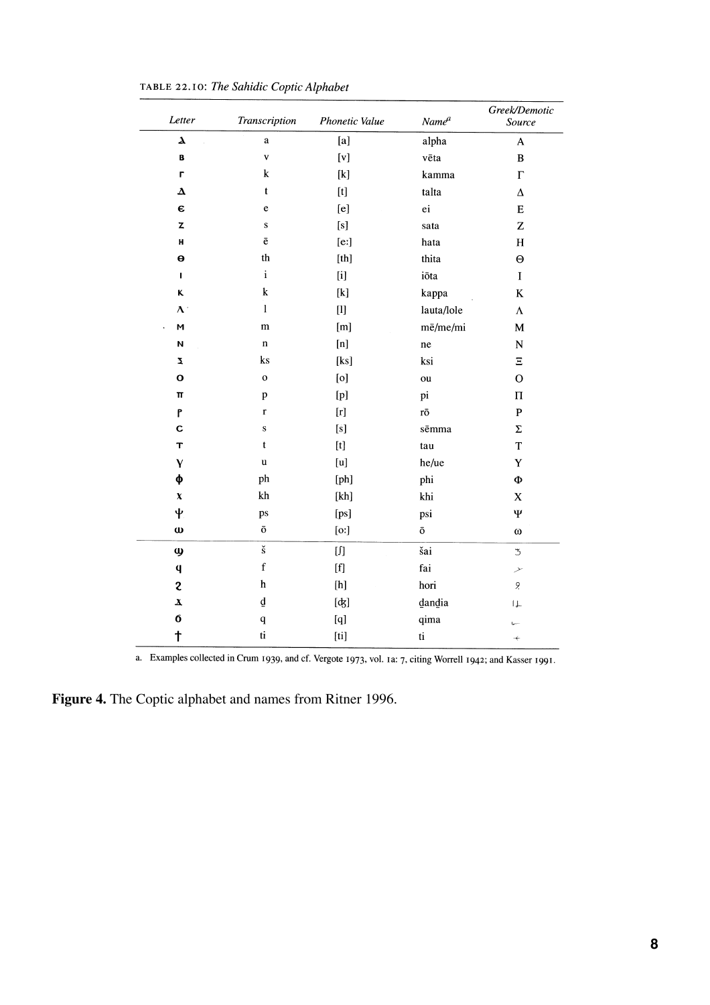| Letter                | Transcription             | Phonetic Value                                                                                                                                                                                                                                                                                                                                                                                                                                                                                                                                                                                                                                                                                                                                                                                                                 | Name <sup>a</sup>          | Greek/Demotic<br>Source  |
|-----------------------|---------------------------|--------------------------------------------------------------------------------------------------------------------------------------------------------------------------------------------------------------------------------------------------------------------------------------------------------------------------------------------------------------------------------------------------------------------------------------------------------------------------------------------------------------------------------------------------------------------------------------------------------------------------------------------------------------------------------------------------------------------------------------------------------------------------------------------------------------------------------|----------------------------|--------------------------|
| $\pmb{\lambda}$       | $\mathbf{a}$              | $[{\bf a}]$                                                                                                                                                                                                                                                                                                                                                                                                                                                                                                                                                                                                                                                                                                                                                                                                                    | alpha                      | $\mathbf{A}$             |
| B                     | $\mathbf{v}$              | $[v] \centering% \includegraphics[width=1.0\textwidth]{figs/fig_4a} \caption{The 3D (top) and the 4D (bottom) of the 3D (bottom) of the 3D (bottom) of the 3D (bottom) of the 3D (bottom).} \label{fig:1}$                                                                                                                                                                                                                                                                                                                                                                                                                                                                                                                                                                                                                     | vēta                       | $\, {\bf B}$             |
| L                     | k                         | $[{\bf k}]$                                                                                                                                                                                                                                                                                                                                                                                                                                                                                                                                                                                                                                                                                                                                                                                                                    | kamma                      | $\Gamma$                 |
| $\boldsymbol{\Delta}$ | t                         | [t]                                                                                                                                                                                                                                                                                                                                                                                                                                                                                                                                                                                                                                                                                                                                                                                                                            | talta                      | $\Delta$                 |
| $\pmb{\epsilon}$      | e                         | [e]                                                                                                                                                                                                                                                                                                                                                                                                                                                                                                                                                                                                                                                                                                                                                                                                                            | ei                         | ${\bf E}$                |
| $\mathbf{Z}$          | ${\bf S}$                 | [s]                                                                                                                                                                                                                                                                                                                                                                                                                                                                                                                                                                                                                                                                                                                                                                                                                            | sata                       | $\mathbf Z$              |
| н                     | $\bar{\mathrm{e}}$        | [e:]                                                                                                                                                                                                                                                                                                                                                                                                                                                                                                                                                                                                                                                                                                                                                                                                                           | hata                       | $H_{\rm}$                |
| $\boldsymbol{\Theta}$ | th                        | $[th] \centering% \includegraphics[width=1.0\textwidth]{Figures/PN1.png} \caption{The 3D (top) and the 4D (bottom) of the 3D (bottom) and the 4D (bottom) of the 3D (bottom) and the 4D (bottom) of the 3D (bottom) of the 3D (bottom). The 3D (bottom) is the 3D (bottom).} \label{fig:1}$                                                                                                                                                                                                                                                                                                                                                                                                                                                                                                                                    | thita                      | $\Theta$                 |
| $\mathbf{I}$          | $\mathbf i$               | [i]                                                                                                                                                                                                                                                                                                                                                                                                                                                                                                                                                                                                                                                                                                                                                                                                                            | iõta                       | $\mathbf I$              |
| ĸ                     | ${\bf k}$                 | $[{\bf k}]$                                                                                                                                                                                                                                                                                                                                                                                                                                                                                                                                                                                                                                                                                                                                                                                                                    | kappa                      | $\bf K$                  |
| $\Lambda$             | $\mathbf{1}$              | $[1]$                                                                                                                                                                                                                                                                                                                                                                                                                                                                                                                                                                                                                                                                                                                                                                                                                          | lauta/lole                 | $\Lambda$                |
| $\mathsf{M}$          | m                         | [m]                                                                                                                                                                                                                                                                                                                                                                                                                                                                                                                                                                                                                                                                                                                                                                                                                            | mē/me/mi                   | $\mathbf M$              |
| N                     | $\mathbf n$               |                                                                                                                                                                                                                                                                                                                                                                                                                                                                                                                                                                                                                                                                                                                                                                                                                                | ne                         | ${\bf N}$                |
| Ž.                    | ks                        | [ks]                                                                                                                                                                                                                                                                                                                                                                                                                                                                                                                                                                                                                                                                                                                                                                                                                           | ksi                        | Ξ                        |
| $\mathbf{o}$          | $\mathbf 0$               | [0]                                                                                                                                                                                                                                                                                                                                                                                                                                                                                                                                                                                                                                                                                                                                                                                                                            | ou                         | $\overline{O}$           |
| $\pi$                 | $\, {\bf p}$              | $[p] % \begin{center} % \includegraphics[width=\linewidth]{imagesSupplemental_3.png} % \end{center} % \caption { % \textit{DefNet} of the \textit{DefNet} (M) and \textit{DefNet} (M) and \textit{DefNet} (M) are the \textit{DefNet} (M) and \textit{DefNet} (M) are the \textit{DefNet} (M) and \textit{DefNet} (M) are the \textit{DefNet} (M) and \textit{DefNet} (M) are the \textit{DefNet} (M) and \textit{DefNet} (M) are the \textit{DefNet} (M) and \textit{DefNet} (M) are the \textit{DefNet} (M) and \textit{DefNet} (M) are the \textit$                                                                                                                                                                                                                                                                         | pi                         | $\boldsymbol{\Pi}$       |
| P                     | $\mathbf r$               |                                                                                                                                                                                                                                                                                                                                                                                                                                                                                                                                                                                                                                                                                                                                                                                                                                | $r\bar{o}$                 | $\mathbf P$              |
| $\mathbf c$           | ${\bf S}$                 | [s]                                                                                                                                                                                                                                                                                                                                                                                                                                                                                                                                                                                                                                                                                                                                                                                                                            | sēmma                      | $\Sigma$                 |
| T                     | $\mathbf t$               | $[t]$                                                                                                                                                                                                                                                                                                                                                                                                                                                                                                                                                                                                                                                                                                                                                                                                                          | tau                        | T                        |
| Y                     | u                         | [u]                                                                                                                                                                                                                                                                                                                                                                                                                                                                                                                                                                                                                                                                                                                                                                                                                            | he/ue                      | Y                        |
| φ                     | ph                        | [ph]                                                                                                                                                                                                                                                                                                                                                                                                                                                                                                                                                                                                                                                                                                                                                                                                                           | phi                        | Φ                        |
| $\pmb{\chi}$          | ${\bf kh}$                | [kh]                                                                                                                                                                                                                                                                                                                                                                                                                                                                                                                                                                                                                                                                                                                                                                                                                           | khi                        | $\mathbf X$              |
| $\mathbf{\Psi}$       | ps                        | [ps]                                                                                                                                                                                                                                                                                                                                                                                                                                                                                                                                                                                                                                                                                                                                                                                                                           | psi                        | Ψ                        |
| $\omega$              | $\bar{\text{o}}$          | [o:]                                                                                                                                                                                                                                                                                                                                                                                                                                                                                                                                                                                                                                                                                                                                                                                                                           | $\bar{\text{o}}$           | $\omega$                 |
| $\boldsymbol{\omega}$ | $\check{\mathbf{s}}$      | $[] \centering \subfloat[0]{{\includegraphics[width=0.25\textwidth]{figs/fig1000}}}}% \subfloat[0]{{\includegraphics[width=0.25\textwidth]{figs/fig1000}}}}% \subfloat[0]{{\includegraphics[width=0.25\textwidth]{figs/fig1000}}}}% \subfloat[0]{{\includegraphics[width=0.25\textwidth]{figs/fig1000}}}}% \subfloat[0]{{\includegraphics[width=0.25\textwidth]{figs/fig1000}}}}% \subfloat[0]{{\includegraphics[width=0.25\textwidth]{figs/fig1000}}}}% \subfloat[0]{{\includegraphics[width=0.25\textwidth]{figs/$                                                                                                                                                                                                                                                                                                           | šai                        | $\overline{3}$           |
| $\mathbf q$           | $\mathbf f$               | $[f] % \begin{center} % \includegraphics[width=\linewidth]{imagesSupplemental_3.png} % \end{center} % \caption { % Our method can be used for the use of the estimators in the image. % Note that the \emph{exponent} is the same number of elements in the image. % Note that the \emph{exponent} is the same number of elements in the image. % Note that the \emph{exponent} is the same number of elements in the image. % Note that the \emph{exponent} is the same number of elements in the image. % Note that the \emph{exponent} is the same number of elements in the image. % Note that the \emph{exponent} is the same number of elements in the image. % Note that the \emph{exponent} is the same number of elements in the image. % Note that the \emph{exponent} is the same number of elements in the image.$ | fai                        | ╱                        |
| $\mathbf{c}$          | $\boldsymbol{\mathsf{h}}$ | [h]                                                                                                                                                                                                                                                                                                                                                                                                                                                                                                                                                                                                                                                                                                                                                                                                                            | hori                       | 9.                       |
| $\pmb{\chi}$          | $\underline{\mathtt{d}}$  | $[d_5]$                                                                                                                                                                                                                                                                                                                                                                                                                                                                                                                                                                                                                                                                                                                                                                                                                        | dandia                     | $\downarrow$             |
| 6                     | $\mathbf q$               | [q]                                                                                                                                                                                                                                                                                                                                                                                                                                                                                                                                                                                                                                                                                                                                                                                                                            | qima                       | $\overline{a}$           |
| $\ddagger$            | $\mathbf{t}$ i            | $[$                                                                                                                                                                                                                                                                                                                                                                                                                                                                                                                                                                                                                                                                                                                                                                                                                            | $\ensuremath{\mathrm{ti}}$ | $\overline{\phantom{a}}$ |

TABLE 22.10: The Sahidic Coptic Alphabet

a. Examples collected in Crum 1939, and cf. Vergote 1973, vol. 1a: 7, citing Worrell 1942; and Kasser 1991.

**Figure 4.** The Coptic alphabet and names from Ritner 1996.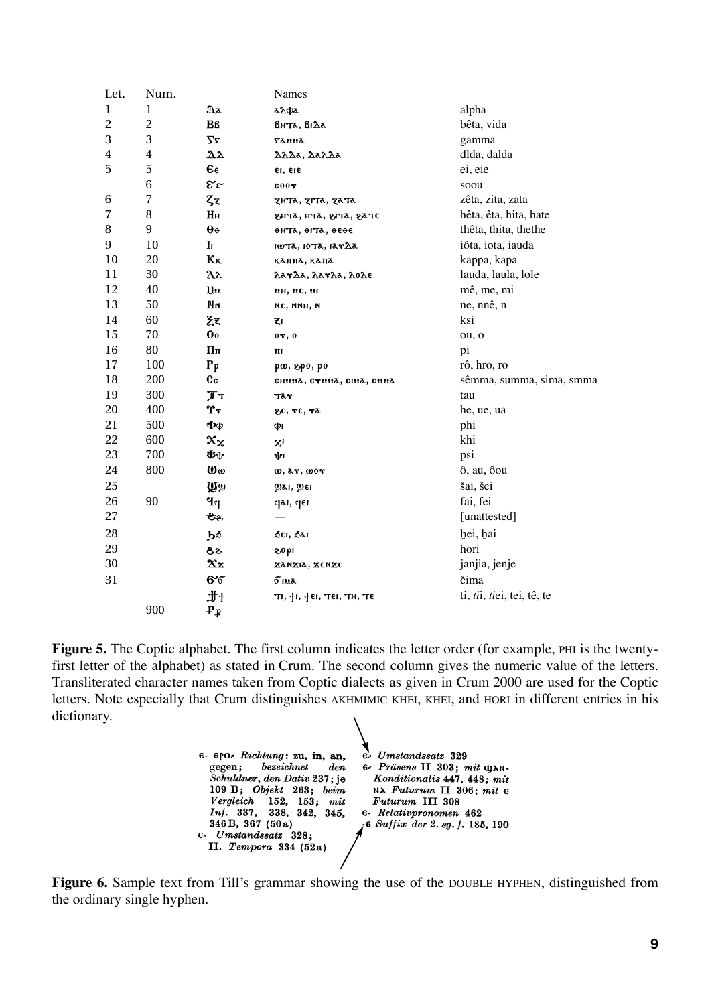| Let.             | Num.           |                           | Names                                               |                            |
|------------------|----------------|---------------------------|-----------------------------------------------------|----------------------------|
| 1                | 1              | $\mathfrak{A}$ a          | аλфа                                                | alpha                      |
| $\overline{c}$   | $\overline{c}$ | Bß                        | BHTA, BIAA                                          | bêta, vida                 |
| 3                | 3              | $\overline{\mathbf{r}}$   | <b>Sanna</b>                                        | gamma                      |
| 4                | 4              | 22                        | λλλα, λαλλα                                         | dlda, dalda                |
| 5                | 5              | $\epsilon_{\epsilon}$     | er, ere                                             | ei, eie                    |
|                  | 6              | $\mathfrak{E}'$ r         | $_{\rm coor}$                                       | soou                       |
| 6                | $\overline{7}$ | ζz                        | zhta, zita, zata                                    | zêta, zita, zata           |
| 7                | 8              | Hн                        | sata, atls, sata, sate                              | hêta, êta, hita, hate      |
| 8                | 9              | $\theta$ <sup>o</sup>     | онта, огта, осое                                    | thêta, thita, thethe       |
| $\boldsymbol{9}$ | 10             | $\mathbf{l}$              | 100 TA, 10 TA, 1 A <b>r</b> $\Delta$ a              | iôta, iota, iauda          |
| 10               | 20             | $K_{K}$                   | каппа, капа                                         | kappa, kapa                |
| 11               | 30             | $\lambda\lambda$          | λαγλα, λαγλα, λολε                                  | lauda, laula, lole         |
| 12               | 40             | <b>Uu</b>                 | ин, не, м                                           | mê, me, mi                 |
| 13               | 50             | Νм                        | ме, ммн, м                                          | ne, nnê, n                 |
| 14               | 60             | Z٤                        | ξı                                                  | ksi                        |
| 15               | 70             | $\mathbf{0}$ <sub>0</sub> | $0\tau$ , $0$                                       | ou, o                      |
| 16               | 80             | Ππ                        | ш                                                   | pi                         |
| 17               | 100            | $P_{p}$                   | pw, 2p0, p0                                         | rô, hro, ro                |
| 18               | 200            | $c_{c}$                   | CHUUA, CYUUA, CIUA, CUUA                            | sêmma, summa, sima, smma   |
| 19               | 300            | $\mathbb{T}^{\mathrm{T}}$ | тат                                                 | tau                        |
| 20               | 400            | Tr                        | 2E, TE, Tã                                          | he, ue, ua                 |
| 21               | 500            | Фφ                        | Φг                                                  | phi                        |
| 22               | 600            | $\mathbf{x}_{\mathbf{x}}$ | $x_1$                                               | khi                        |
| 23               | 700            | Фψ                        | ψı                                                  | psi                        |
| 24               | 800            | $\omega_{\omega}$         | <b>W, AT, WOT</b>                                   | ô, au, ôou                 |
| 25               |                | ழுக                       | уат, ујет                                           | šai, šei                   |
| 26               | 90             | $\mathbf{p}$              | gai, gei                                            | fai, fei                   |
| 27               |                | ठैरु                      |                                                     | [unattested]               |
| 28               |                | Ъ₫                        | ðei, ðai                                            | hei, hai                   |
| 29               |                | 8ક                        | <b>140S</b>                                         | hori                       |
| 30               |                | $\mathbf{x}$ x            | Xanxia, xenxe                                       | janjia, jenje              |
| 31               |                | 66                        | <u>Fina</u>                                         | čima                       |
|                  |                | ft.                       | $T_I$ , $T_I$ , $T_I$ $T_I$ , $T_I$ , $T_I$ , $T_I$ | ti, tii, tiei, tei, tê, te |
|                  | 900            | $P_{\mathbf{p}}$          |                                                     |                            |

**Figure 5.** The Coptic alphabet. The first column indicates the letter order (for example, PHI is the twentyfirst letter of the alphabet) as stated in Crum. The second column gives the numeric value of the letters. Transliterated character names taken from Coptic dialects as given in Crum 2000 are used for the Coptic letters. Note especially that Crum distinguishes AKHMIMIC KHEI, KHEI, and HORI in different entries in his dictionary.

e- epo- Richtung: zu, in, an,  $e$  Umstandssatz 329 gegen;  $bezeichnet$  $den$ 6 Präsens II 303; mit OAN-Schuldner, den Dativ 237; je Konditionalis 447, 448; mit 109 B; Objekt 263; beim NA Futurum II 306; mit e Vergleich 152, 153; mit Futurum III 308 Inf. 337, 338, 342, 345, 6- Relativpronomen 462. 346B, 367 (50a)  $f$ **c** Suffix der 2. sq. f. 185, 190 e- Umstandssatz 328; II. Tempora 334 (52a)

**Figure 6.** Sample text from Till's grammar showing the use of the DOUBLE HYPHEN, distinguished from the ordinary single hyphen.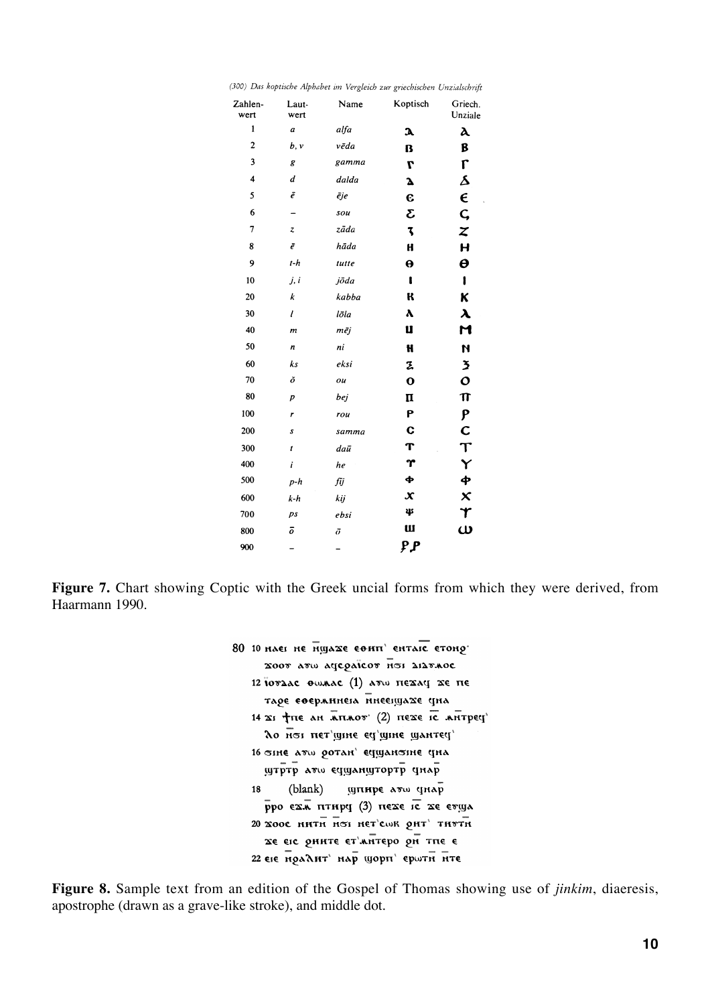| Zahlen-<br>wert | Laut-<br>wert    | Name  | Koptisch    | Griech.<br>Unziale     |
|-----------------|------------------|-------|-------------|------------------------|
| $\mathbf{1}$    | $\boldsymbol{a}$ | alfa  | У           | $\lambda$              |
| $\mathbf{2}$    | b, v             | vēda  | B           | B                      |
| 3               | g                | gamma | L           | $\mathsf{r}$           |
| $\overline{4}$  | d                | dalda | Δ           | s                      |
| 5               | ē                | ēje   | е           | $\epsilon$             |
| 6               |                  | sou   | Σ           | $\mathsf C$            |
| $\overline{7}$  | $\pmb{z}$        | zāda  | 3           | Z                      |
| 8               | ē                | hāda  | H           | H                      |
| 9               | $t-h$            | tutte | θ           | Θ                      |
| 10              | j, i             | jõda  | ı           | 1                      |
| 20              | $\boldsymbol{k}$ | kabba | ĸ           | K                      |
| 30              | $\mathbf{I}$     | lõla  | ۸           | $\boldsymbol{\lambda}$ |
| 40              | m                | mēj   | U           | M                      |
| 50              | n                | ni    | H           | N                      |
| 60              | ks               | eksi  | Z,          | 3                      |
| 70              | ŏ                | ou    | $\mathbf o$ | $\mathbf{o}$           |
| 80              | p                | bej   | п           | $\pi$                  |
| 100             | r                | rou   | P           | P                      |
| 200             | s                | samma | C           | C                      |
| 300             | t                | daū   | T           | $\boldsymbol{\tau}$    |
| 400             | $\boldsymbol{i}$ | he    | Υ           | Y                      |
| 500             | $p-h$            | fij   | ф           | ቀ                      |
| 600             | k-h              | kij   | $\mathbf x$ | $\mathsf{x}$           |
| 700             | ps               | ebsi  | 45          | Υ                      |
| 800             | ō                | ō     | <b>W</b>    | $\omega$               |
| 900             |                  |       | ዖዖ          |                        |

(300) Das koptische Alphabet im Vergleich zur griechischen Unzialschrift

Figure 7. Chart showing Coptic with the Greek uncial forms from which they were derived, from Haarmann 1990.

|  | 80 10 нает не нујаже еонп' ентајс етоно<br>2000 ATW ACCONICOT HEI AIATAOC |
|--|---------------------------------------------------------------------------|
|  | 12 ΙΟΥΔΑΣ ΘωλΑΣ (1) ΑΤω ΠΕΣΑΥ ΣΕ ΠΕ                                       |
|  | таре еоерминета инеецуахе уна                                             |
|  | 14 21 ТПЕ АН АПЛОВ" (2) ПЕХЕ IC АНТРЕЧ                                    |
|  | ло нот пет шие ед шие шантед                                              |
|  | 16 этне атш ротан' еушанзіне уна<br>утртр ато едуанутортр днар            |
|  | (blank) шпнре атш стар<br>18                                              |
|  | рро ехл птнру (3) нехе іс хе етща                                         |
|  | 20 XOOC HHTH HOI HET'CWK OHT' THUTH                                       |
|  | хе еге оните ет'литеро он тпе е                                           |
|  | 22 еге ноадит' нар шорп' ерштн нте                                        |

**Figure 8.** Sample text from an edition of the Gospel of Thomas showing use of *jinkim*, diaeresis, apostrophe (drawn as a grave-like stroke), and middle dot.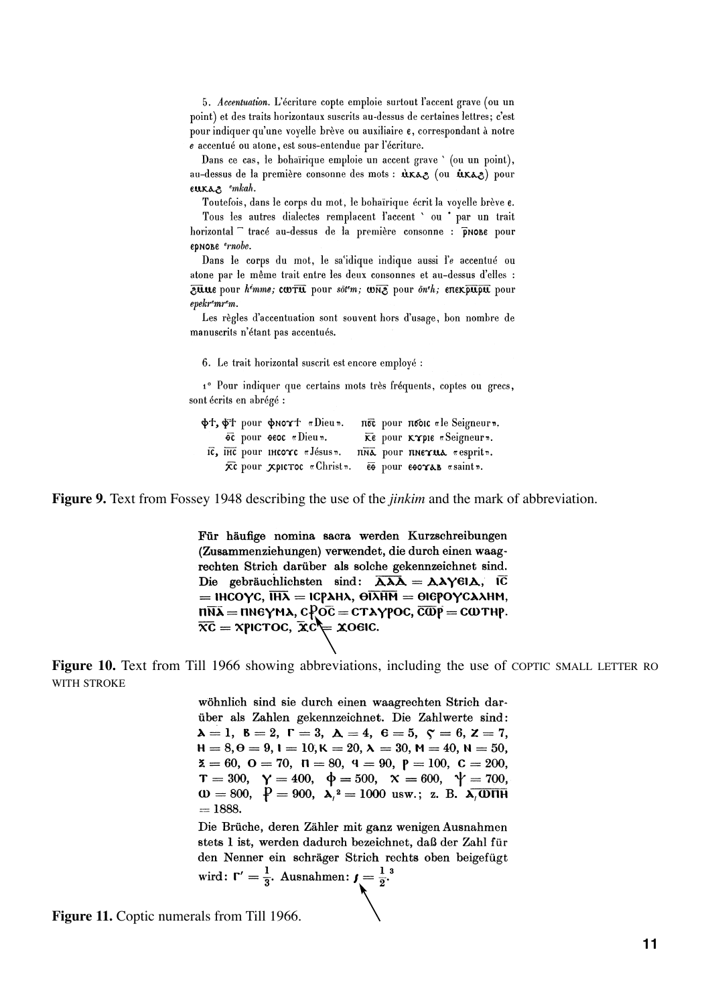5. Accentuation. L'écriture copte emploie surtout l'accent grave (ou un point) et des traits horizontaux suscrits au-dessus de certaines lettres; c'est pour indiquer qu'une voyelle brève ou auxiliaire  $\epsilon$ , correspondant à notre e accentué ou atone, est sous-entendue par l'écriture.

Dans ce cas, le bohairique emploie un accent grave ' (ou un point), au-dessus de la première consonne des mots :  $\hat{u}$ Kaz (ou  $\hat{u}$ Kaz) pour eukas emkah.

Toutefois, dans le corps du mot, le bohaïrique écrit la voyelle brève e.

Tous les autres dialectes remplacent l'accent ' ou \* par un trait horizontal tracé au-dessus de la première consonne : pronc pour ернове *ernobe*.

Dans le corps du mot, le sa'idique indique aussi l'e accentué ou atone par le même trait entre les deux consonnes et au-dessus d'elles : ause pour hémme; corru pour solem; www. pour onth; enexpupu pour  $e p e k r e m r e m$ .

Les règles d'accentuation sont souvent hors d'usage, bon nombre de manuscrits n'étant pas accentués.

6. Le trait horizontal suscrit est encore employé :

1º Pour indiquer que certains mots très fréquents, coptes ou grecs, sont écrits en abrégé :

|  | φt, φt pour φnoγt «Dieu».                                                      |  | πό pour πόδις «le Seigneur».              |
|--|--------------------------------------------------------------------------------|--|-------------------------------------------|
|  | $\overline{oc}$ pour $\overline{oc}$ $\pi$ Dieu $\overline{c}$ .               |  | Ke pour KYple «Seigneur».                 |
|  | $\overline{\text{IC}}$ , $\overline{\text{HC}}$ pour inco $\text{TC}$ «Jésus». |  | nna pour nnexua «esprit».                 |
|  | $\bar{\mathbf{x}}$ c pour $\mathbf{x}$ pic $\mathbf{r}$ oc «Christ».           |  | $\epsilon$ pour $\epsilon$ eoras «saint». |

**Figure 9.** Text from Fossey 1948 describing the use of the *jinkim* and the mark of abbreviation.

Für häufige nomina sacra werden Kurzschreibungen (Zusammenziehungen) verwendet, die durch einen waagrechten Strich darüber als solche gekennzeichnet sind. Die gebräuchlichsten sind:  $\overrightarrow{\mathbf{\lambda}\lambda\mathbf{\lambda}} = \mathbf{\lambda}\lambda\mathbf{\gamma}\mathbf{GL}, \overrightarrow{\mathbf{IC}}$ = IHCOYC,  $\overline{IHA}$  = ICPAHA,  $\overline{\Theta}$ IAHM =  $\Theta$ IEPOYCAAHM,  $n\overline{n}$  $\overline{\lambda}$  =  $n$ ne $\gamma$ m $\lambda$ ,  $c$  $\overline{p}$ o $\overline{c}$  =  $c\tau\lambda\gamma$ poc,  $\overline{c}\overline{\omega}$ p $\overline{p}$  =  $c\omega\tau$ hp.  $\overline{xc}$  = xpictoc,  $\overline{xc}$  =  $\overline{xo}$  =  $\overline{ox}$ .

**Figure 10.** Text from Till 1966 showing abbreviations, including the use of COPTIC SMALL LETTER RO WITH STROKE

> wöhnlich sind sie durch einen waagrechten Strich darüber als Zahlen gekennzeichnet. Die Zahlwerte sind:  $\lambda = 1, \ \beta = 2, \ \Gamma = 3, \ \Delta = 4, \ \theta = 5, \ \zeta = 6, \ z = 7,$  $H = 8, \theta = 9, 1 = 10, K = 20, \lambda = 30, M = 40, N = 50,$  $\mathbf{z} = 60, \ \mathbf{0} = 70, \ \mathbf{0} = 80, \ \mathbf{q} = 90, \ \mathbf{p} = 100, \ \mathbf{C} = 200,$  $T = 300, \quad Y = 400, \quad \phi = 500, \quad X = 600, \quad \psi = 700,$  $\omega = 800, \ \ P = 900, \ \ \lambda^2 = 1000 \ \text{usw.}; \ \ z. \ \ B. \ \ \lambda \sqrt{0.0111}$  $= 1888.$

> Die Brüche, deren Zähler mit ganz wenigen Ausnahmen stets 1 ist, werden dadurch bezeichnet, daß der Zahl für den Nenner ein schräger Strich rechts oben beigefügt wird:  $\Gamma' = \frac{1}{3}$ . Ausnahmen:  $\mathbf{1} = \frac{1}{2}$ .

**Figure 11.** Coptic numerals from Till 1966.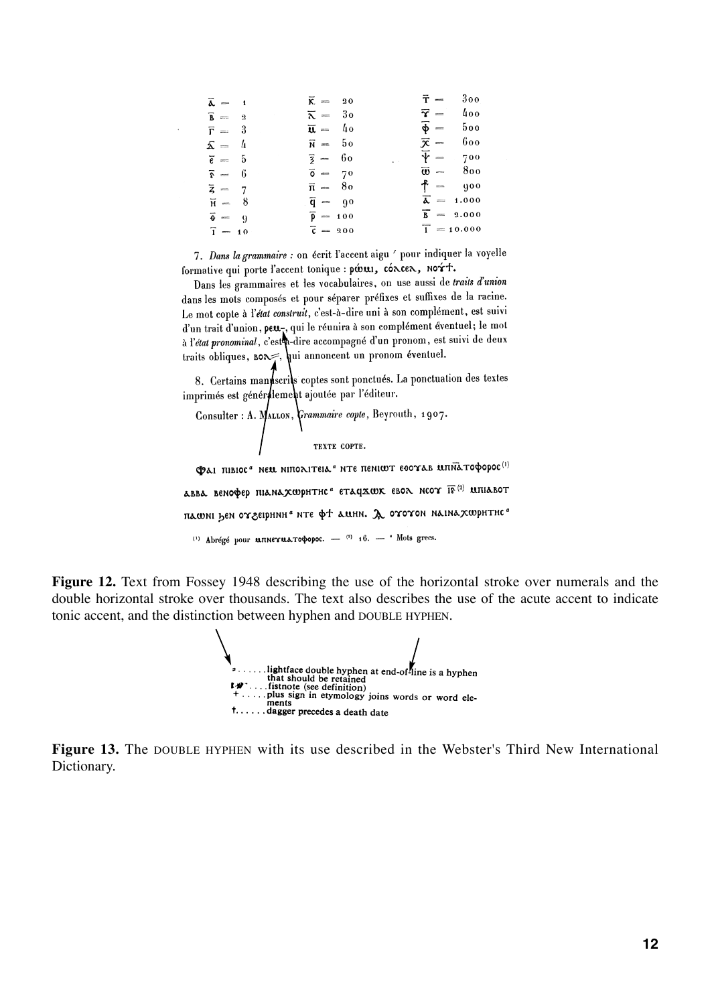| $\overline{\lambda} = 1$             | $\overline{\mathsf{K}} = 20$    | $\bar{\tau} = 300$                     |
|--------------------------------------|---------------------------------|----------------------------------------|
| $\overline{\mathbf{B}} = \mathbf{2}$ | $\overline{\lambda} = 30$       | $\vec{\gamma} = 400$                   |
| $\overline{r} = 3$                   | $\overline{\mathbf{u}} = 40$    | $\phi = 500$                           |
| $\bar{\Delta} = 4$                   | $\bar{N} = 50$                  | $\bar{\mathbf{x}} = 600$               |
| $\bar{\epsilon} = 5$                 | $\bar{z} = 60$<br>p.            | $\overline{\Psi} = 700$                |
| $\bar{s} = 6$                        | $\overline{0} = 70$             | $\overline{\boldsymbol{\omega}} = 800$ |
| $\overline{z} = 7$                   | $\bar{\mathfrak{n}} = 80$       | $f = 900$                              |
| $\overline{H} = 8$                   | $\overline{q} = 90$             | $\overline{\lambda} = 1.000$           |
| $\vec{\theta} = 9$                   | $\overline{p} = 100$            | $\overline{B}$ = 2.000                 |
| $\bar{1} = 10$                       | $\overline{\mathfrak{c}} = 200$ | $\frac{1}{1}$ = 10.000                 |

7. Dans la grammaire : on écrit l'accent aigu ' pour indiquer la voyelle formative qui porte l'accent tonique : pώ ..., concen, nort.

Dans les grammaires et les vocabulaires, on use aussi de traits d'union dans les mots composés et pour séparer préfixes et suffixes de la racine. Le mot copte à l'état construit, c'est-à-dire uni à son complément, est suivi d'un trait d'union, peu, qui le réunira à son complément éventuel; le mot<br>à l'état pronominal, c'est dire accompagné d'un pronom, est suivi de deux traits obliques, BOR ; hui annoncent un pronom éventuel.

8. Certains mannscrits coptes sont ponctués. La ponctuation des textes imprimés est généralement ajoutée par l'éditeur.

Consider: A. 
$$
\bigwedge_{\text{Tran} \in \text{CDF}}
$$
 (Example 1907).

Фаі півіос" нем ніполітеіа" нте пенішт еоочав мпідтофорос<sup>(і)</sup> авва венофер піанахшрнтнс" етац $\mathbf x$ шк евол нсоч  $\overline{\mathbf{R}}^{(2)}$  шпіавот пашні бен отзеірнин" нте фт ашни. Д ототон наінахшритнс" (1) Abrégé pour **unnerua τοφορος.** - (2) 16. - <sup>a</sup> Mots grecs.

**Figure 12.** Text from Fossey 1948 describing the use of the horizontal stroke over numerals and the double horizontal stroke over thousands. The text also describes the use of the acute accent to indicate tonic accent, and the distinction between hyphen and DOUBLE HYPHEN.



**Figure 13.** The DOUBLE HYPHEN with its use described in the Webster's Third New International Dictionary.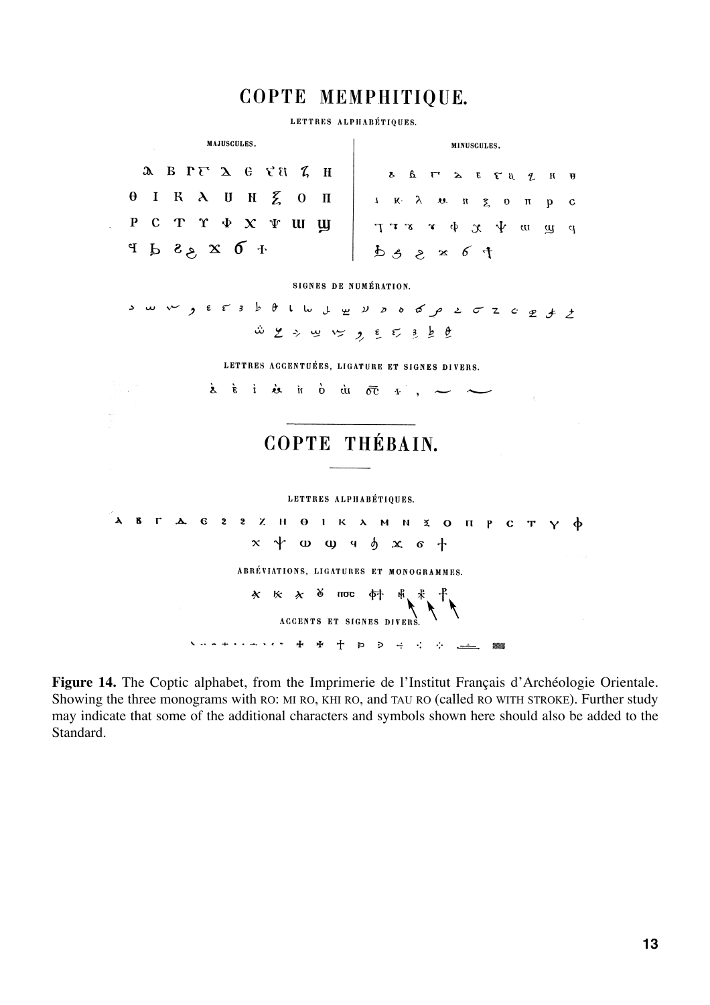## COPTE MEMPHITIQUE.

LETTRES ALPHABÉTIQUES.



**Figure 14.** The Coptic alphabet, from the Imprimerie de l'Institut Français d'Archéologie Orientale. Showing the three monograms with RO: MI RO, KHI RO, and TAU RO (called RO WITH STROKE). Further study may indicate that some of the additional characters and symbols shown here should also be added to the Standard.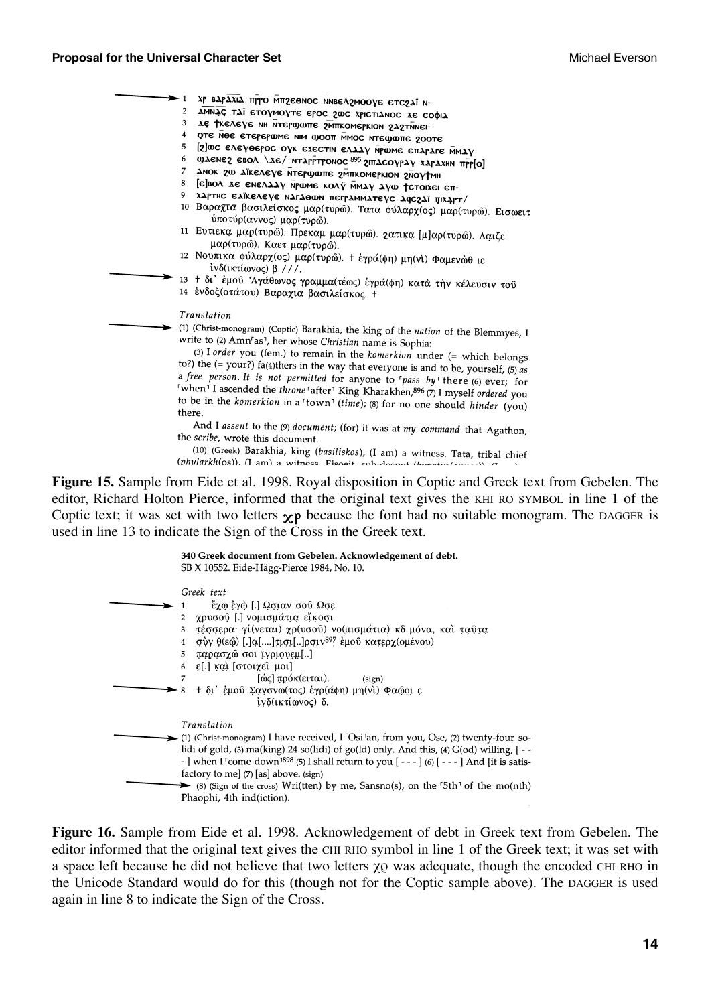#### **Proposal for the Universal Character Set Michael Everson** Michael Everson

| $\rightarrow$ 1 | ХР ВАРАХІА ПРРО МПРЕӨМОС ММВЕЛРМООУЕ ЕТСРАЇ Н-                                                                                                                                   |
|-----------------|----------------------------------------------------------------------------------------------------------------------------------------------------------------------------------|
| $\overline{2}$  | ΔΜΝΑΣ ΤΑΪ ΕΤΟΥΜΟΥΤΕ ΕΡΟΣ 2ως ΧΡΙΣΤΙΔΝΟΣ ΔΕ COΦΙΔ                                                                                                                                 |
| 3               | де ткелеуе мн мтерфоте ампкомеркюм глатимен-                                                                                                                                     |
| 4               | ОТЕ NOE ЕТЕРЕРШМЕ NIM ФООТ MMOC NTECHOTE 200TE                                                                                                                                   |
| 5               | [2] ше елеуеерос оук езестін елдду мршме епараге ммду                                                                                                                            |
| 6               | ΦλεΝεζ εΒΟΛ \λε/ ΝΤΑΡΡΤΡΟΝΟΣ 895 2ΙΠΑΣΟΥΡΑΥ ΧΑΡΑΧΗΝ ΠΡΡΙΟΙ                                                                                                                       |
| 7               | амок го аїкелеує мтерфонте гмиткомеркіом глоутмн                                                                                                                                 |
| 8               | [є]вол де ємелдду мриме колу ммау душ тстоіхеі єп-                                                                                                                               |
| 9               | хартис едікелеуе магаеши пеграмматеус ачегаї піхарт/                                                                                                                             |
|                 | 10 Βαραχτα βασιλείσκος μαρ(τυρώ). Τατα φύλαρχ(ος) μαρ(τυρώ). Εισωειτ<br>ύποτύρ(αννος) μαρ(τυρώ).                                                                                 |
|                 | 11 Ευτιεκα μαρ(τυρώ). Πρεκαμ μαρ(τυρώ). 2ατικα [μ]αρ(τυρώ). Λαιζε<br>μαρ(τυρώ). Καετ μαρ(τυρώ).                                                                                  |
|                 | 12 Νουπικα φύλαρχ (ος) μαρ (τυρώ). + έγρά (φη) μη (νι) Φαμενώθ ιε<br>ίνδ(ικτίωνος) β ///.                                                                                        |
|                 | 13 + δι' έμού 'Αγάθωνος γραμμα (τέως) έγρά (φη) κατά την κέλευσιν τού<br>14 ένδοξ (οτάτου) Βαραχια βασιλείσκος. +                                                                |
|                 | Translation                                                                                                                                                                      |
|                 | (1) (Christ-monogram) (Coptic) Barakhia, the king of the nation of the Blemmyes, I<br>write to (2) Amn <sup>r</sup> as <sup>1</sup> , her whose <i>Christian</i> name is Sophia: |
|                 | (3) I order you (fem.) to remain in the komerkion under (= which belongs<br>to?) the (= your?) fa(4)thers in the way that everyone is and to be, yourself, (5) as                |
|                 | a free person. It is not permitted for anyone to 'pass by' there (6) ever; for<br>"when' I ascended the throne "after' King Kharakhen, 896 (7) I myself ordered you              |
| there.          | to be in the komerkion in a 'town' (time); (8) for no one should hinder (you)                                                                                                    |
|                 | And I assent to the (9) document; (for) it was at my command that Agathon,<br>the scribe, wrote this document.                                                                   |
|                 | (10) (Greek) Barakhia, king (basiliskos), (I am) a witness. Tata, tribal chief                                                                                                   |
|                 | (phylarkh(os)). (I am) a witness Fisopit sub-doenot (hunderfamous) in                                                                                                            |

**Figure 15.** Sample from Eide et al. 1998. Royal disposition in Coptic and Greek text from Gebelen. The editor, Richard Holton Pierce, informed that the original text gives the KHI RO SYMBOL in line 1 of the Coptic text; it was set with two letters  $\chi$ p because the font had no suitable monogram. The DAGGER is used in line 13 to indicate the Sign of the Cross in the Greek text.

| 340 Greek document from Gebelen. Acknowledgement of debt.<br>SB X 10552. Eide-Hägg-Pierce 1984, No. 10.                                                                                                                                                                                                                                           |
|---------------------------------------------------------------------------------------------------------------------------------------------------------------------------------------------------------------------------------------------------------------------------------------------------------------------------------------------------|
| Greek text                                                                                                                                                                                                                                                                                                                                        |
| έχω έγὼ [.] Ωσιαν σού Ωσε                                                                                                                                                                                                                                                                                                                         |
| χρυσού [.] νομισμάτια εἴκοσι<br>$\overline{2}$                                                                                                                                                                                                                                                                                                    |
| τέσσερα γί(νεται) χρ(υσού) νο(μισμάτια) κδ μόνα, και ταῦτα<br>3                                                                                                                                                                                                                                                                                   |
| σύν θ(εφ) [.]α[]τισι[]ρσιν <sup>897</sup> έμου κατερχ(ομένου)<br>$\overline{4}$                                                                                                                                                                                                                                                                   |
| παρασχώ σοι ϊγριονεμ[]<br>5                                                                                                                                                                                                                                                                                                                       |
| 6 ε[.] και [στοιχει μοι]                                                                                                                                                                                                                                                                                                                          |
| [ώς] πρόκ(ειται).<br>(sign)                                                                                                                                                                                                                                                                                                                       |
| + δι' έμού Σανσνω(τος) έγρ(άφη) μη (νι) Φαώφι ε<br>8<br>ίνδ(ικτίωνος) δ.                                                                                                                                                                                                                                                                          |
| Translation                                                                                                                                                                                                                                                                                                                                       |
| (1) (Christ-monogram) I have received, I 'Osi'an, from you, Ose, (2) twenty-four so-<br>lidi of gold, (3) ma(king) 24 so(lidi) of go(ld) only. And this, (4) G(od) willing, [ - -<br>- ] when I <sup>r</sup> come down <sup>1898</sup> (5) I shall return to you $[- -1]$ (6) $[- -1]$ And [it is satis-<br>factory to me] (7) [as] above. (sign) |
| (8) (Sign of the cross) Wri(tten) by me, Sansno(s), on the $5th$ of the mo(nth)                                                                                                                                                                                                                                                                   |
| Phaophi, 4th ind(iction).                                                                                                                                                                                                                                                                                                                         |

**Figure 16.** Sample from Eide et al. 1998. Acknowledgement of debt in Greek text from Gebelen. The editor informed that the original text gives the CHI RHO symbol in line 1 of the Greek text; it was set with a space left because he did not believe that two letters  $\chi$ <sup>0</sup> was adequate, though the encoded CHI RHO in the Unicode Standard would do for this (though not for the Coptic sample above). The DAGGER is used again in line 8 to indicate the Sign of the Cross.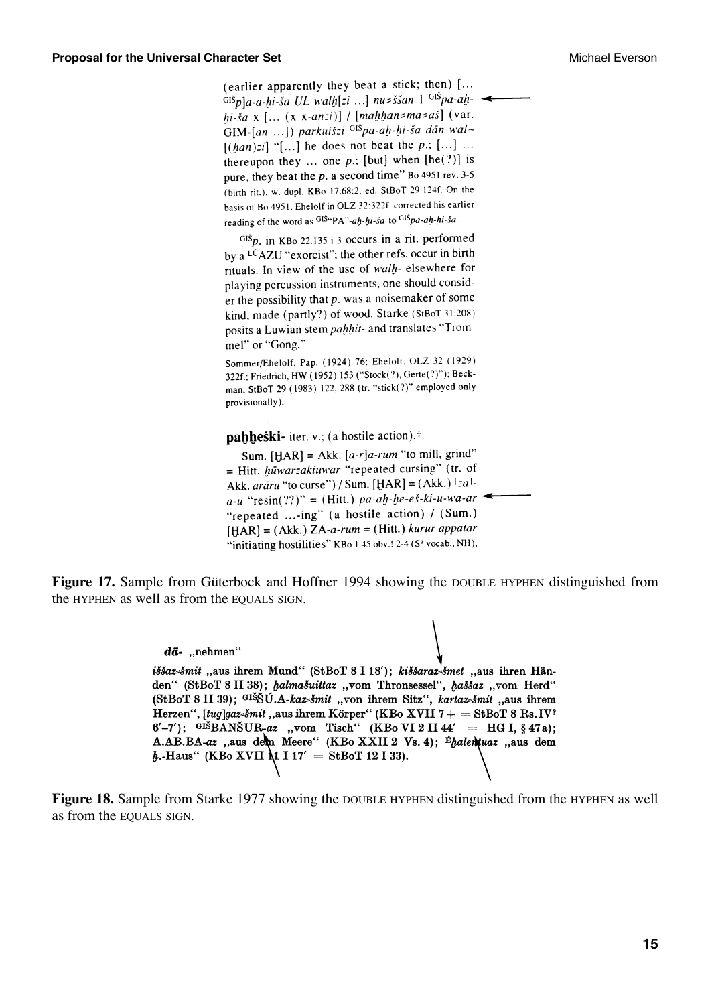(earlier apparently they beat a stick; then) [...  $\frac{1}{\sinh^2 a}$ -a-hi-ša UL walh[zi ...] nu zššan 1  $\frac{1}{\sinh^2 a}$ -ahhi-ša x [...  $(x x-anzi)$ ] / [mahhan=ma=aš] (var. GIM-[an ...]) parkuišzi <sup>GIŠ</sup>pa-ah-hi-ša dān wal~  $[(han):i]$  "[...] he does not beat the p.; [...] ... thereupon they ... one  $p$ ; [but] when [he(?)] is pure, they beat the  $p$ . a second time" Bo 4951 rev. 3-5 (birth rit.), w. dupl. KBo 17.68:2, ed. StBoT 29:124f. On the basis of Bo 4951, Ehelolf in OLZ 32:322f. corrected his earlier reading of the word as GIS"PA"-ah-hi-sa to GISpa-ah-hi-sa.

 $Gi\delta p$ , in KBo 22.135 i 3 occurs in a rit. performed by a <sup>LU</sup>AZU "exorcist"; the other refs. occur in birth rituals. In view of the use of walh- elsewhere for playing percussion instruments, one should consider the possibility that  $p$ , was a noisemaker of some kind, made (partly?) of wood. Starke (StBoT 31:208) posits a Luwian stem pahhit- and translates "Trommel" or "Gong."

Sommer/Ehelolf, Pap. (1924) 76; Ehelolf, OLZ 32 (1929) 322f.; Friedrich, HW (1952) 153 ("Stock(?), Gerte(?)"); Beckman, StBoT 29 (1983) 122, 288 (tr. "stick(?)" employed only provisionally).

pahheški- iter. v.; (a hostile action).<sup>†</sup>

Sum.  $[HAR] = Akk. [a-r]a-rum$  "to mill, grind" = Hitt. hūwarzakiuwar "repeated cursing" (tr. of Akk. *arāru* "to curse") / Sum. [HAR] = (Akk.)  $[za]$ .  $a-u$  "resin(??)" = (Hitt.) pa-ah-he-eš-ki-u-wa-ar "repeated ...-ing" (a hostile action) / (Sum.)  $[HAR] = (Akk.) ZA-a-rum = (Hitt.) kurrar appatar$ "initiating hostilities" KBo 1.45 obv.! 2-4 (Sa vocab., NH),

**Figure 17.** Sample from Güterbock and Hoffner 1994 showing the DOUBLE HYPHEN distinguished from the HYPHEN as well as from the EQUALS SIGN.

> $d\bar{a}$ - ..nehmen" iššazsšmit "aus ihrem Mund" (StBoT 8 I 18'); kiššarazsšmet "aus ihren Händen" (StBoT 8 II 38); halmašuittaz "vom Thronsessel", haššaz "vom Herd" (StBoT 8 II 39);  $GISSU.A-kaz\text{2}mit$ , von ihrem Sitz", kartaz  $\text{2}mit$ , aus ihrem Herzen", [tug]gaz=šmit, aus ihrem Körper" (KBo XVII 7 + = StBoT 8 Rs. IV?  $6'$ -7'); GIŠBANŠUR-az "vom Tisch" (KBo VI 2 II 44' = HG I, § 47a); A.AB.BA-az "aus dem Meere" (KBo XXII 2 Vs. 4); <sup>É</sup>halenkuaz "aus dem  $h$ .-Haus" (KBo XVII  $\Lambda$ 1 I 17' = StBoT 12 I 33).

**Figure 18.** Sample from Starke 1977 showing the DOUBLE HYPHEN distinguished from the HYPHEN as well as from the EQUALS SIGN.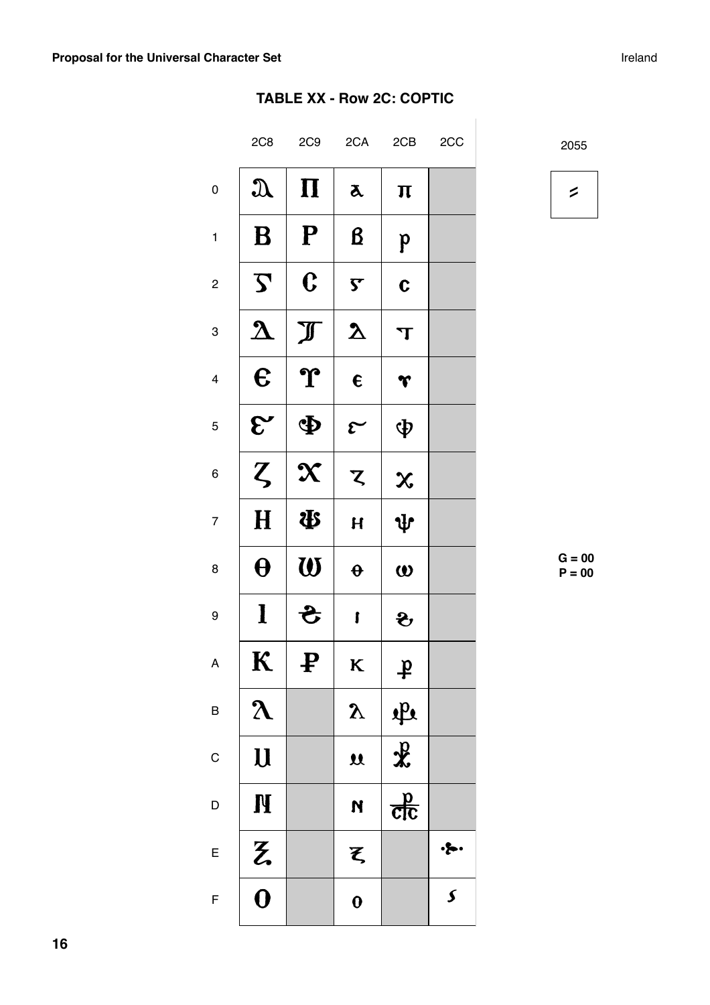### **TABLE XX - Row 2C: COPTIC**

|                         | 2C8                     | 2C9                       | 2CA                     | 2CB                     | 2CC                   |
|-------------------------|-------------------------|---------------------------|-------------------------|-------------------------|-----------------------|
| $\mathbf 0$             | $\mathfrak{A}$          | $\boldsymbol{\Pi}$        | $\lambda$               | $\boldsymbol{\Pi}$      |                       |
| $\mathbf{1}$            | B                       | ${\bf P}$                 | $\boldsymbol{\beta}$    | $\mathbf{p}$            |                       |
| $\boldsymbol{2}$        | $\boldsymbol{\zeta}$    | $\mathbf C$               | $\overline{\mathsf{S}}$ | $\mathbf C$             |                       |
| 3                       | $\boldsymbol{\lambda}$  | $\mathbb{J}$              | $\boldsymbol{\Sigma}$   | $\mathbf T$             |                       |
| $\overline{\mathbf{4}}$ | $\boldsymbol{\epsilon}$ | ${\bf \hat{T}}$           | $\epsilon$              | r                       |                       |
| 5                       | $\mathcal{E}^{\prime}$  | Ф                         | $\mathcal{E}$           | φ                       |                       |
| 6                       | $\zeta$                 | $\boldsymbol{\chi}$       | $\boldsymbol{z}$        | $\boldsymbol{\chi}$     |                       |
| $\overline{7}$          | $\mathbf H$             | \$                        | $\overline{\mathbf{H}}$ | $\Psi$                  |                       |
| 8                       | $\boldsymbol{\theta}$   | $\boldsymbol{\mathsf{W}}$ | $\boldsymbol{\theta}$   | $\boldsymbol{\omega}$   |                       |
| 9                       | l                       | टे                        | ſ                       | $\mathbf{\hat{z}}$      |                       |
| A                       | $\bf K$                 | ₽                         | K                       | $\mathbf{\dot{F}}$      |                       |
| $\mathsf B$             | $\lambda$               |                           | $\mathbf{y}$            | 書                       |                       |
| $\mathsf C$             | $\mathbf{U}$            |                           | $\mathbf{\mathfrak{U}}$ |                         |                       |
| $\mathsf{D}$            | <b>N</b>                |                           | N                       | $\frac{d}{d\mathbf{c}}$ |                       |
| $\mathsf{E}$            | z                       |                           | $\boldsymbol{\xi}$      |                         | $\cdot \bullet \cdot$ |
| $\overline{F}$          | $\overline{\mathbf{0}}$ |                           | $\mathbf 0$             |                         | $\boldsymbol{\zeta}$  |

2055

 $\begin{array}{c} \hline \end{array}$ 

 $\overline{\phantom{a}}$ 

**G = 00**  $P = 00$